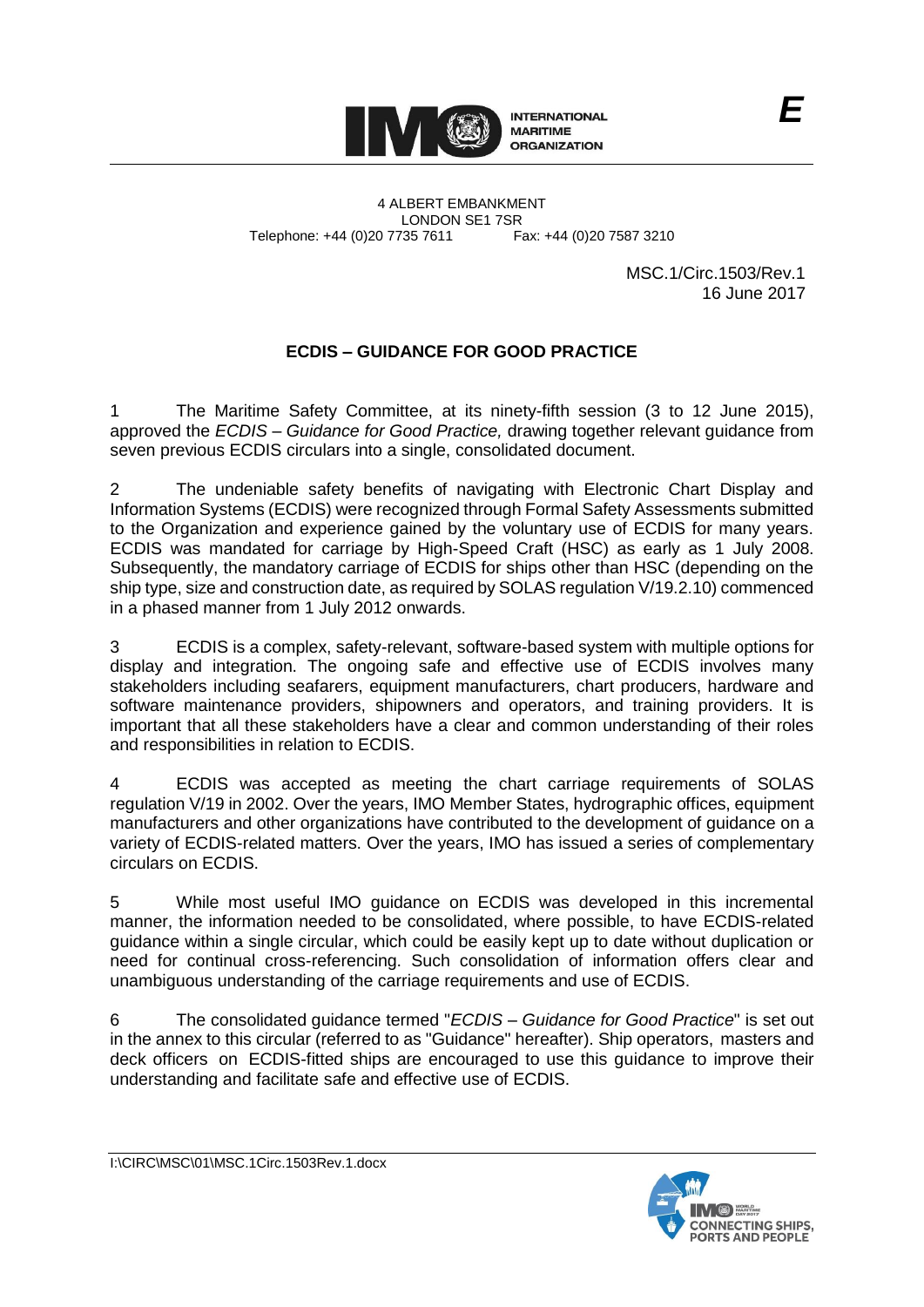

4 ALBERT EMBANKMENT LONDON SE1 7SR<br>735 7611 Fax: +44 (0)20 7587 3210 Telephone: +44 (0)20 7735 7611

> MSC.1/Circ.1503/Rev.1 16 June 2017

*E*

# **ECDIS – GUIDANCE FOR GOOD PRACTICE**

1 The Maritime Safety Committee, at its ninety-fifth session (3 to 12 June 2015), approved the *ECDIS – Guidance for Good Practice,* drawing together relevant guidance from seven previous ECDIS circulars into a single, consolidated document.

2 The undeniable safety benefits of navigating with Electronic Chart Display and Information Systems (ECDIS) were recognized through Formal Safety Assessments submitted to the Organization and experience gained by the voluntary use of ECDIS for many years. ECDIS was mandated for carriage by High-Speed Craft (HSC) as early as 1 July 2008. Subsequently, the mandatory carriage of ECDIS for ships other than HSC (depending on the ship type, size and construction date, as required by SOLAS regulation V/19.2.10) commenced in a phased manner from 1 July 2012 onwards.

3 ECDIS is a complex, safety-relevant, software-based system with multiple options for display and integration. The ongoing safe and effective use of ECDIS involves many stakeholders including seafarers, equipment manufacturers, chart producers, hardware and software maintenance providers, shipowners and operators, and training providers. It is important that all these stakeholders have a clear and common understanding of their roles and responsibilities in relation to ECDIS.

4 ECDIS was accepted as meeting the chart carriage requirements of SOLAS regulation V/19 in 2002. Over the years, IMO Member States, hydrographic offices, equipment manufacturers and other organizations have contributed to the development of guidance on a variety of ECDIS-related matters. Over the years, IMO has issued a series of complementary circulars on ECDIS.

5 While most useful IMO guidance on ECDIS was developed in this incremental manner, the information needed to be consolidated, where possible, to have ECDIS-related guidance within a single circular, which could be easily kept up to date without duplication or need for continual cross-referencing. Such consolidation of information offers clear and unambiguous understanding of the carriage requirements and use of ECDIS.

6 The consolidated guidance termed "*ECDIS – Guidance for Good Practice*" is set out in the annex to this circular (referred to as "Guidance" hereafter). Ship operators, masters and deck officers on ECDIS-fitted ships are encouraged to use this guidance to improve their understanding and facilitate safe and effective use of ECDIS.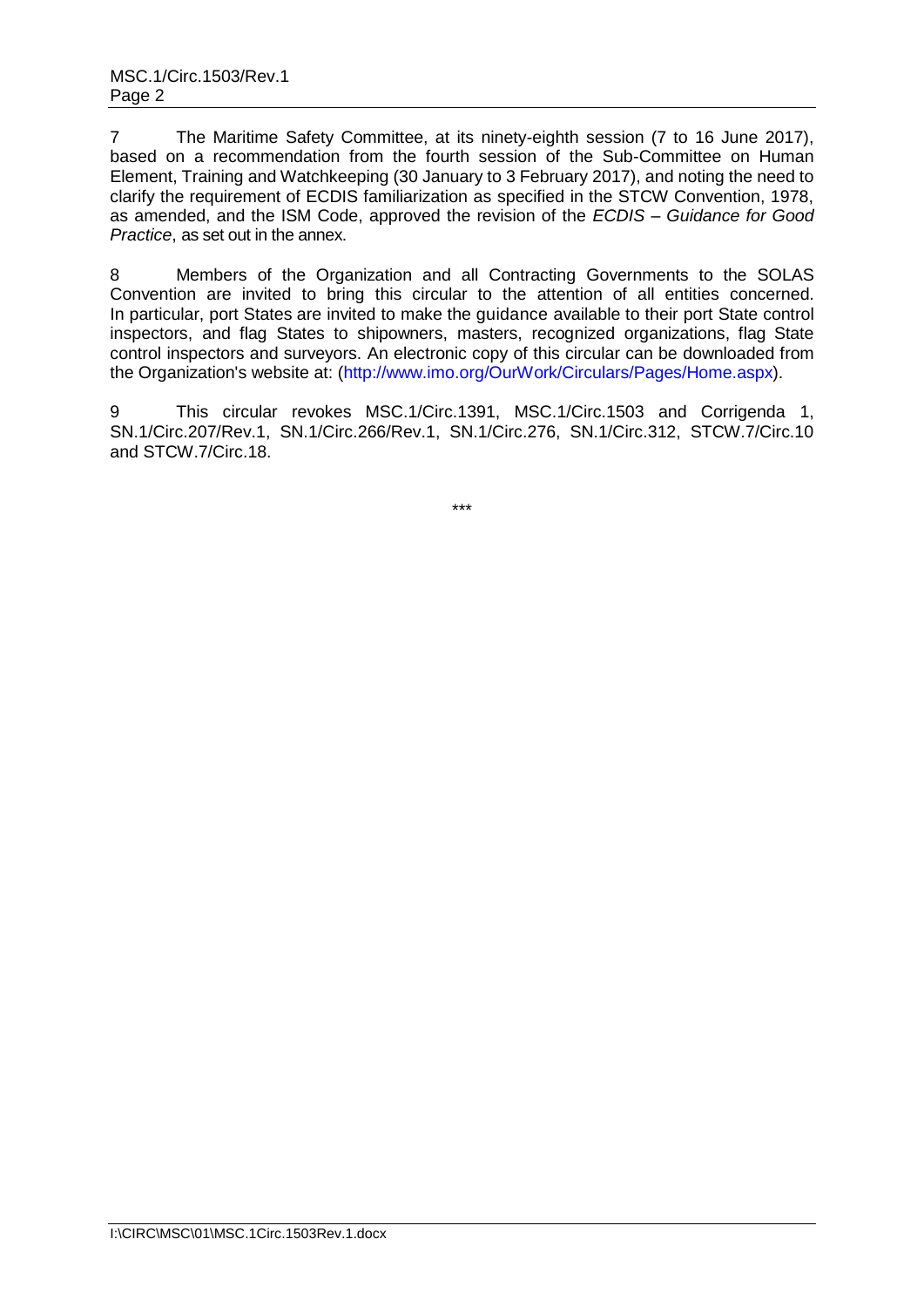7 The Maritime Safety Committee, at its ninety-eighth session (7 to 16 June 2017), based on a recommendation from the fourth session of the Sub-Committee on Human Element, Training and Watchkeeping (30 January to 3 February 2017), and noting the need to clarify the requirement of ECDIS familiarization as specified in the STCW Convention, 1978, as amended, and the ISM Code, approved the revision of the *ECDIS – Guidance for Good Practice*, as set out in the annex.

8 Members of the Organization and all Contracting Governments to the SOLAS Convention are invited to bring this circular to the attention of all entities concerned. In particular, port States are invited to make the guidance available to their port State control inspectors, and flag States to shipowners, masters, recognized organizations, flag State control inspectors and surveyors. An electronic copy of this circular can be downloaded from the Organization's website at: [\(http://www.imo.org/OurWork/Circulars/Pages/Home.aspx\)](http://www.imo.org/OurWork/Circulars/Pages/Home.aspx).

9 This circular revokes MSC.1/Circ.1391, MSC.1/Circ.1503 and Corrigenda 1, SN.1/Circ.207/Rev.1, SN.1/Circ.266/Rev.1, SN.1/Circ.276, SN.1/Circ.312, STCW.7/Circ.10 and STCW.7/Circ.18.

\*\*\*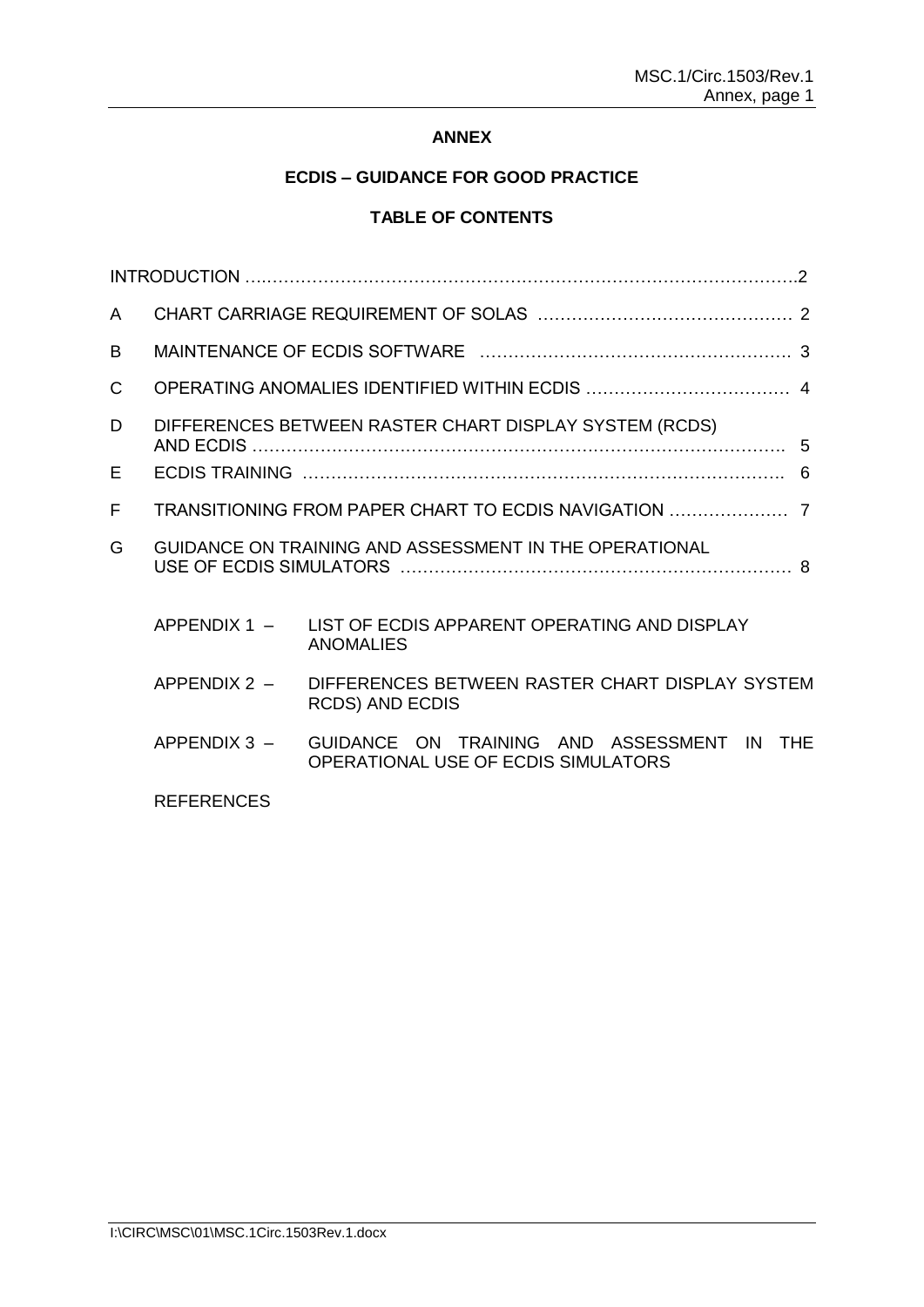# **ANNEX**

# **ECDIS – GUIDANCE FOR GOOD PRACTICE**

# **TABLE OF CONTENTS**

| A  |                                                        |                                                                                   |  |
|----|--------------------------------------------------------|-----------------------------------------------------------------------------------|--|
| B. |                                                        |                                                                                   |  |
| C  |                                                        |                                                                                   |  |
| D  | DIFFERENCES BETWEEN RASTER CHART DISPLAY SYSTEM (RCDS) |                                                                                   |  |
| Е  |                                                        | 6                                                                                 |  |
| F  |                                                        |                                                                                   |  |
| G  |                                                        | GUIDANCE ON TRAINING AND ASSESSMENT IN THE OPERATIONAL                            |  |
|    | $APPENDIX 1 -$                                         | LIST OF ECDIS APPARENT OPERATING AND DISPLAY<br><b>ANOMALIES</b>                  |  |
|    | $APPENDIX 2 -$                                         | DIFFERENCES BETWEEN RASTER CHART DISPLAY SYSTEM<br><b>RCDS) AND ECDIS</b>         |  |
|    | $APPENDIX 3 -$                                         | GUIDANCE ON TRAINING AND ASSESSMENT IN THE<br>OPERATIONAL USE OF ECDIS SIMULATORS |  |
|    | <b>REFERENCES</b>                                      |                                                                                   |  |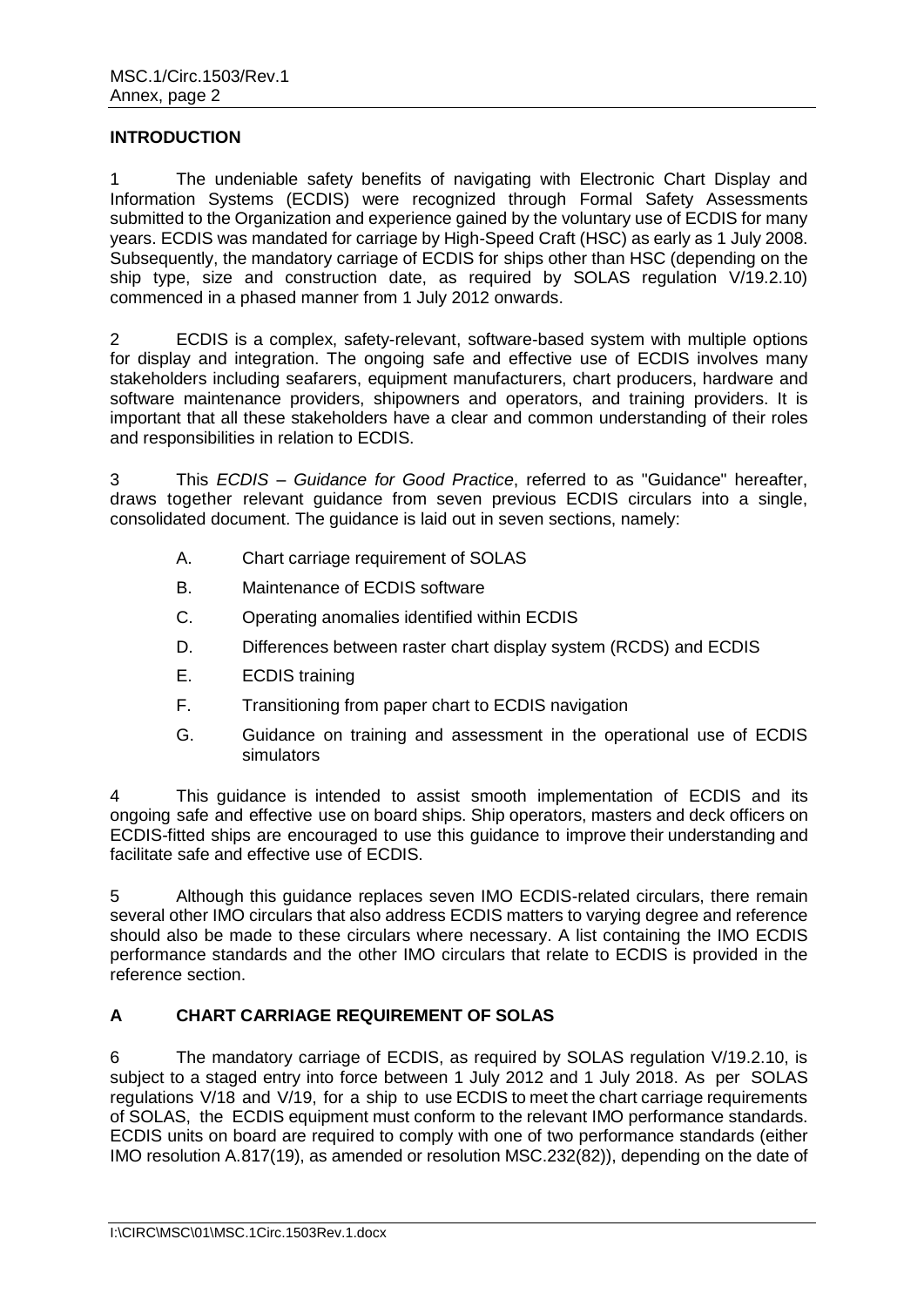#### **INTRODUCTION**

1 The undeniable safety benefits of navigating with Electronic Chart Display and Information Systems (ECDIS) were recognized through Formal Safety Assessments submitted to the Organization and experience gained by the voluntary use of ECDIS for many years. ECDIS was mandated for carriage by High-Speed Craft (HSC) as early as 1 July 2008. Subsequently, the mandatory carriage of ECDIS for ships other than HSC (depending on the ship type, size and construction date, as required by SOLAS regulation V/19.2.10) commenced in a phased manner from 1 July 2012 onwards.

2 ECDIS is a complex, safety-relevant, software-based system with multiple options for display and integration. The ongoing safe and effective use of ECDIS involves many stakeholders including seafarers, equipment manufacturers, chart producers, hardware and software maintenance providers, shipowners and operators, and training providers. It is important that all these stakeholders have a clear and common understanding of their roles and responsibilities in relation to ECDIS.

3 This *ECDIS – Guidance for Good Practice*, referred to as "Guidance" hereafter, draws together relevant guidance from seven previous ECDIS circulars into a single, consolidated document. The guidance is laid out in seven sections, namely:

- A. Chart carriage requirement of SOLAS
- B. Maintenance of ECDIS software
- C. Operating anomalies identified within ECDIS
- D. Differences between raster chart display system (RCDS) and ECDIS
- E. ECDIS training
- F. Transitioning from paper chart to ECDIS navigation
- G. Guidance on training and assessment in the operational use of ECDIS simulators

4 This guidance is intended to assist smooth implementation of ECDIS and its ongoing safe and effective use on board ships. Ship operators, masters and deck officers on ECDIS-fitted ships are encouraged to use this guidance to improve their understanding and facilitate safe and effective use of ECDIS.

5 Although this guidance replaces seven IMO ECDIS-related circulars, there remain several other IMO circulars that also address ECDIS matters to varying degree and reference should also be made to these circulars where necessary. A list containing the IMO ECDIS performance standards and the other IMO circulars that relate to ECDIS is provided in the reference section.

# <span id="page-3-0"></span>**A CHART CARRIAGE REQUIREMENT OF SOLAS**

6 The mandatory carriage of ECDIS, as required by SOLAS regulation V/19.2.10, is subject to a staged entry into force between 1 July 2012 and 1 July 2018. As per SOLAS regulations V/18 and V/19, for a ship to use ECDIS to meet the chart carriage requirements of SOLAS, the ECDIS equipment must conform to the relevant IMO performance standards. ECDIS units on board are required to comply with one of two performance standards (either IMO resolution A.817(19), as amended or resolution MSC.232(82)), depending on the date of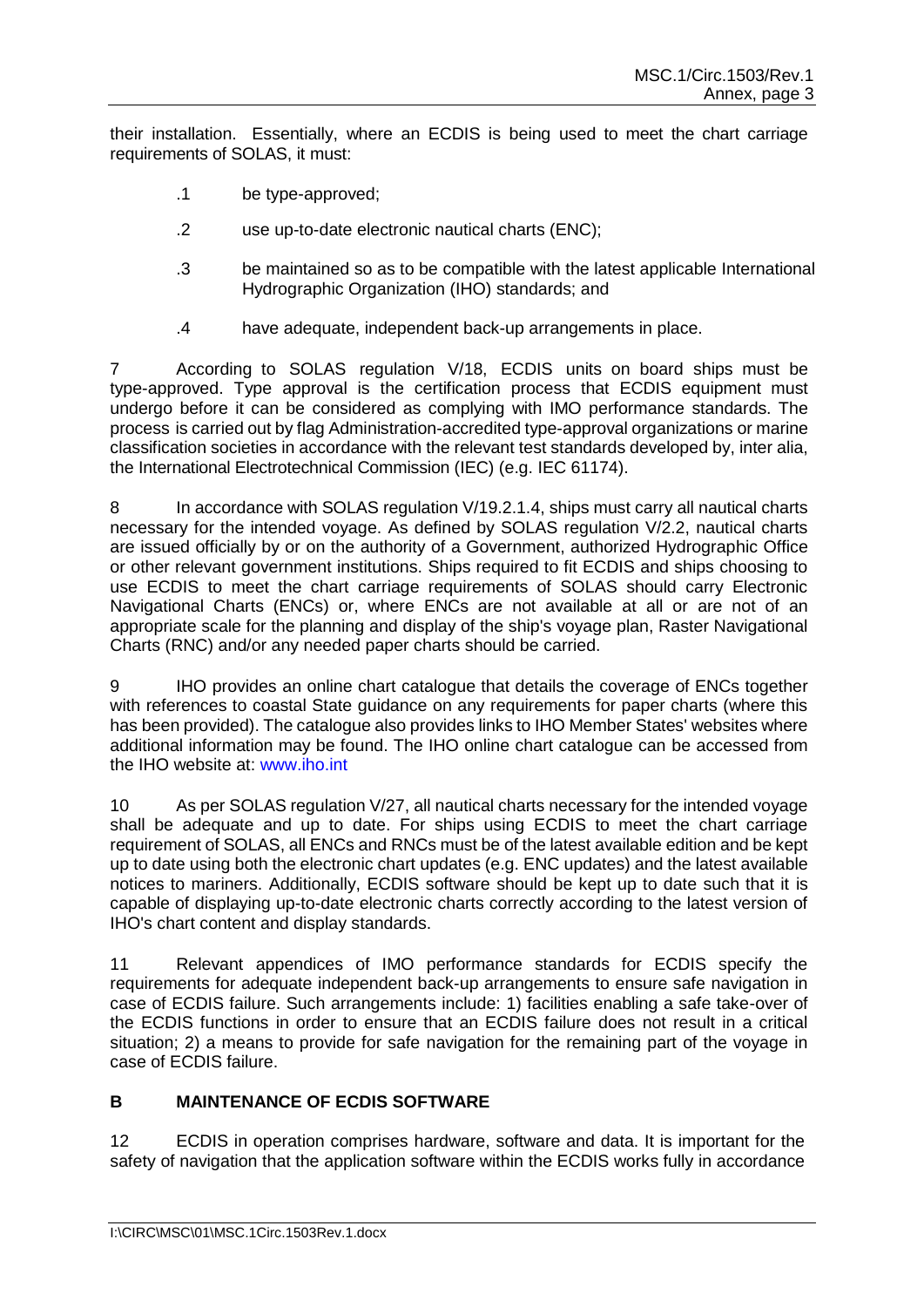their installation. Essentially, where an ECDIS is being used to meet the chart carriage requirements of SOLAS, it must:

- .1 be type-approved;
- .2 use up-to-date electronic nautical charts (ENC);
- .3 be maintained so as to be compatible with the latest applicable International Hydrographic Organization (IHO) standards; and
- .4 have adequate, independent back-up arrangements in place.

7 According to SOLAS regulation V/18, ECDIS units on board ships must be type-approved. Type approval is the certification process that ECDIS equipment must undergo before it can be considered as complying with IMO performance standards. The process is carried out by flag Administration-accredited type-approval organizations or marine classification societies in accordance with the relevant test standards developed by, inter alia, the International Electrotechnical Commission (IEC) (e.g. IEC 61174).

8 In accordance with SOLAS regulation V/19.2.1.4, ships must carry all nautical charts necessary for the intended voyage. As defined by SOLAS regulation V/2.2, nautical charts are issued officially by or on the authority of a Government, authorized Hydrographic Office or other relevant government institutions. Ships required to fit ECDIS and ships choosing to use ECDIS to meet the chart carriage requirements of SOLAS should carry Electronic Navigational Charts (ENCs) or, where ENCs are not available at all or are not of an appropriate scale for the planning and display of the ship's voyage plan, Raster Navigational Charts (RNC) and/or any needed paper charts should be carried.

9 IHO provides an online chart catalogue that details the coverage of ENCs together with references to coastal State guidance on any requirements for paper charts (where this has been provided). The catalogue also provides links to IHO Member States' websites where additional information may be found. The IHO online chart catalogue can be accessed from the IHO website at: www.iho.int

10 As per SOLAS regulation V/27, all nautical charts necessary for the intended voyage shall be adequate and up to date. For ships using ECDIS to meet the chart carriage requirement of SOLAS, all ENCs and RNCs must be of the latest available edition and be kept up to date using both the electronic chart updates (e.g. ENC updates) and the latest available notices to mariners. Additionally, ECDIS software should be kept up to date such that it is capable of displaying up-to-date electronic charts correctly according to the latest version of IHO's chart content and display standards.

11 Relevant appendices of IMO performance standards for ECDIS specify the requirements for adequate independent back-up arrangements to ensure safe navigation in case of ECDIS failure. Such arrangements include: 1) facilities enabling a safe take-over of the ECDIS functions in order to ensure that an ECDIS failure does not result in a critical situation; 2) a means to provide for safe navigation for the remaining part of the voyage in case of ECDIS failure.

# <span id="page-4-0"></span>**B MAINTENANCE OF ECDIS SOFTWARE**

12 ECDIS in operation comprises hardware, software and data. It is important for the safety of navigation that the application software within the ECDIS works fully in accordance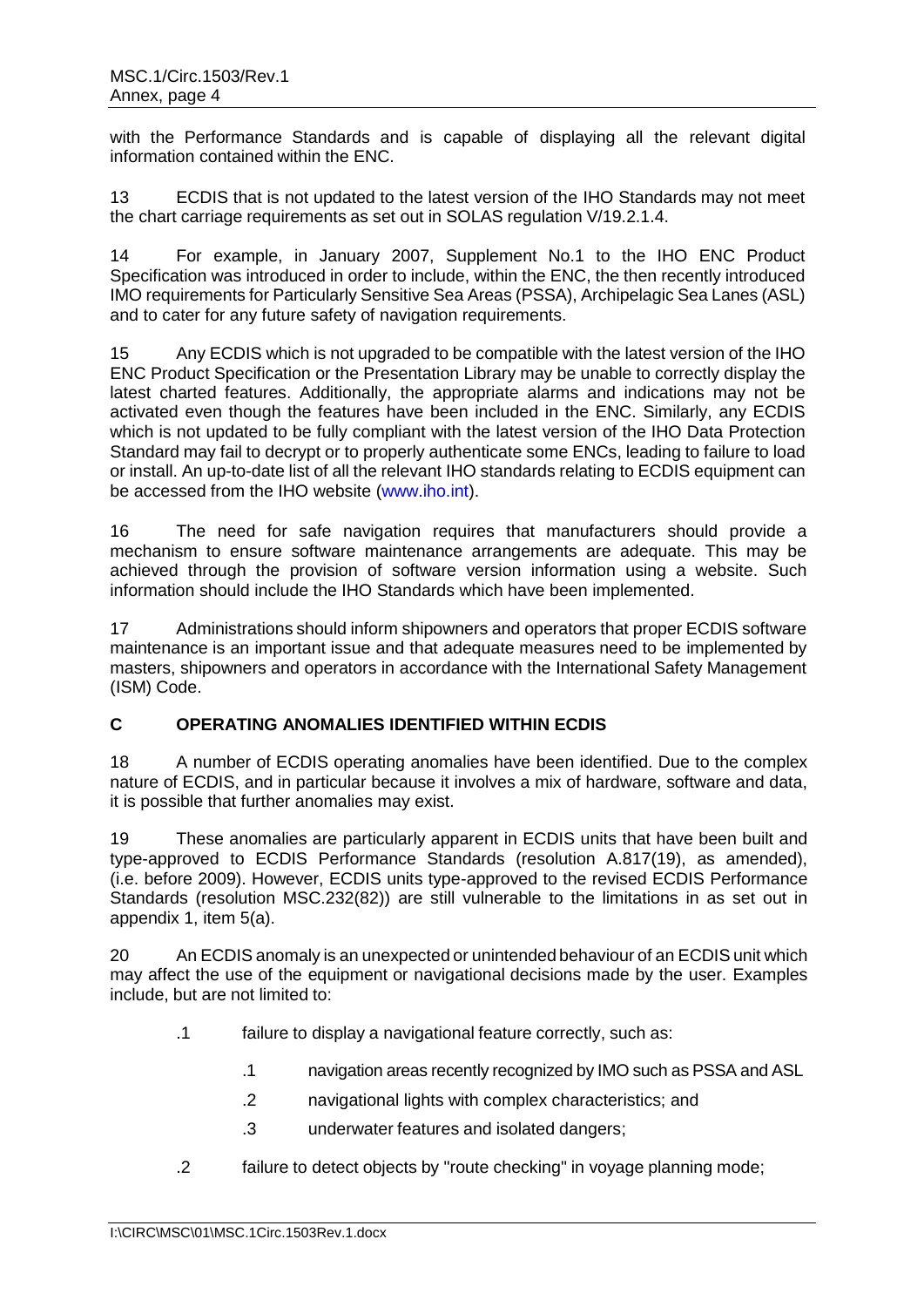with the Performance Standards and is capable of displaying all the relevant digital information contained within the ENC.

13 ECDIS that is not updated to the latest version of the IHO Standards may not meet the chart carriage requirements as set out in SOLAS regulation V/19.2.1.4.

14 For example, in January 2007, Supplement No.1 to the IHO ENC Product Specification was introduced in order to include, within the ENC, the then recently introduced IMO requirements for Particularly Sensitive Sea Areas (PSSA), Archipelagic Sea Lanes (ASL) and to cater for any future safety of navigation requirements.

15 Any ECDIS which is not upgraded to be compatible with the latest version of the IHO ENC Product Specification or the Presentation Library may be unable to correctly display the latest charted features. Additionally, the appropriate alarms and indications may not be activated even though the features have been included in the ENC. Similarly, any ECDIS which is not updated to be fully compliant with the latest version of the IHO Data Protection Standard may fail to decrypt or to properly authenticate some ENCs, leading to failure to load or install. An up-to-date list of all the relevant IHO standards relating to ECDIS equipment can be accessed from the IHO website [\(www.iho.int\)](http://www.iho.int/).

16 The need for safe navigation requires that manufacturers should provide a mechanism to ensure software maintenance arrangements are adequate. This may be achieved through the provision of software version information using a website. Such information should include the IHO Standards which have been implemented.

17 Administrations should inform shipowners and operators that proper ECDIS software maintenance is an important issue and that adequate measures need to be implemented by masters, shipowners and operators in accordance with the International Safety Management (ISM) Code.

## <span id="page-5-0"></span>**C OPERATING ANOMALIES IDENTIFIED WITHIN ECDIS**

18 A number of ECDIS operating anomalies have been identified. Due to the complex nature of ECDIS, and in particular because it involves a mix of hardware, software and data, it is possible that further anomalies may exist.

19 These anomalies are particularly apparent in ECDIS units that have been built and type-approved to ECDIS Performance Standards (resolution A.817(19), as amended), (i.e. before 2009). However, ECDIS units type-approved to the revised ECDIS Performance Standards (resolution MSC.232(82)) are still vulnerable to the limitations in as set out in appendix 1, item 5(a).

20 An ECDIS anomaly is an unexpected or unintended behaviour of an ECDIS unit which may affect the use of the equipment or navigational decisions made by the user. Examples include, but are not limited to:

- .1 failure to display a navigational feature correctly, such as:
	- .1 navigation areas recently recognized by IMO such as PSSA and ASL
	- .2 navigational lights with complex characteristics; and
	- .3 underwater features and isolated dangers;
- .2 failure to detect objects by "route checking" in voyage planning mode;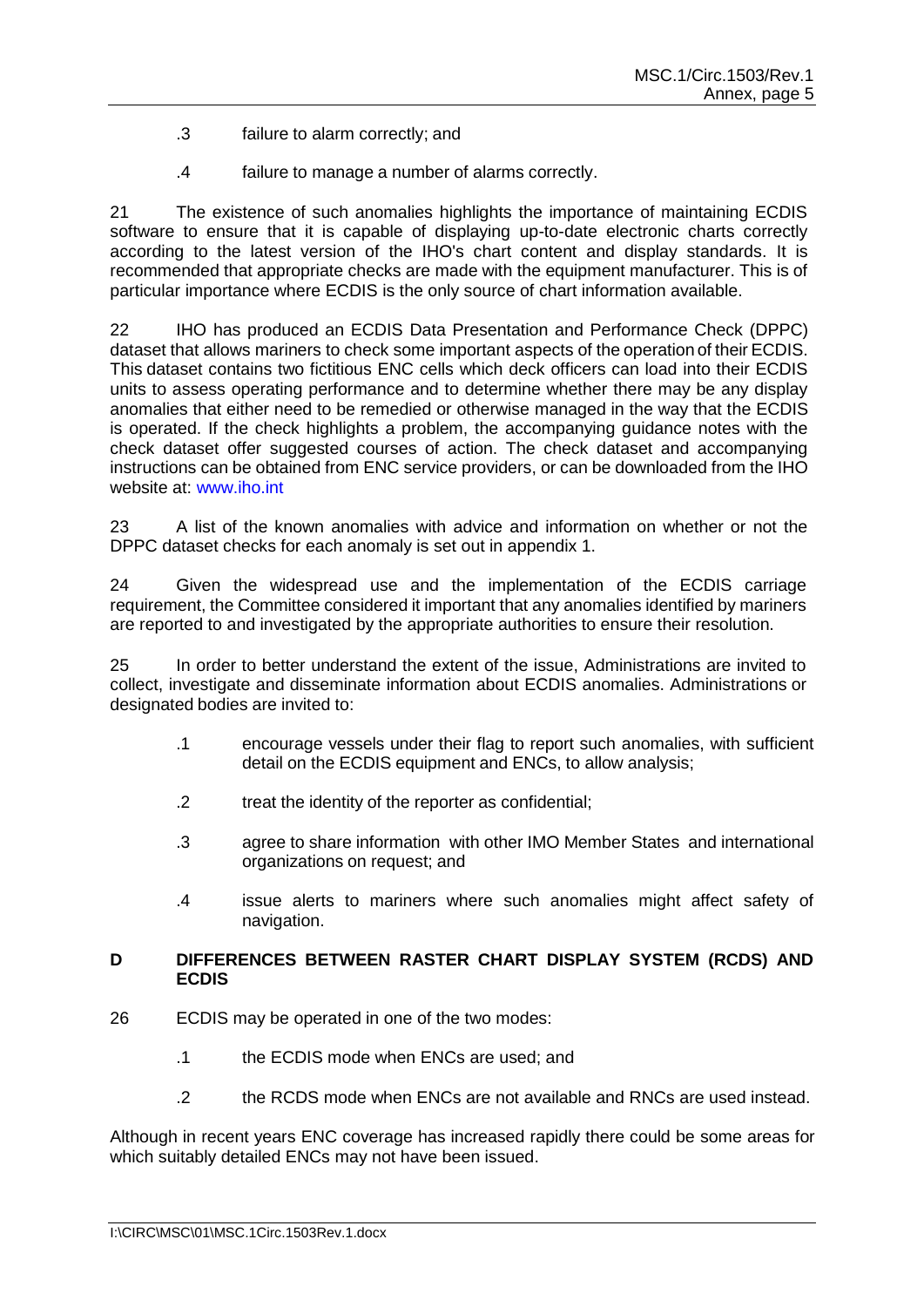- .3 failure to alarm correctly; and
- .4 failure to manage a number of alarms correctly.

21 The existence of such anomalies highlights the importance of maintaining ECDIS software to ensure that it is capable of displaying up-to-date electronic charts correctly according to the latest version of the IHO's chart content and display standards. It is recommended that appropriate checks are made with the equipment manufacturer. This is of particular importance where ECDIS is the only source of chart information available.

22 IHO has produced an ECDIS Data Presentation and Performance Check (DPPC) dataset that allows mariners to check some important aspects of the operation of their ECDIS. This dataset contains two fictitious ENC cells which deck officers can load into their ECDIS units to assess operating performance and to determine whether there may be any display anomalies that either need to be remedied or otherwise managed in the way that the ECDIS is operated. If the check highlights a problem, the accompanying guidance notes with the check dataset offer suggested courses of action. The check dataset and accompanying instructions can be obtained from ENC service providers, or can be downloaded from the IHO website at: [www.iho.int](http://www.iho.int/)

23 A list of the known anomalies with advice and information on whether or not the DPPC dataset checks for each anomaly is set out in appendix 1.

24 Given the widespread use and the implementation of the ECDIS carriage requirement, the Committee considered it important that any anomalies identified by mariners are reported to and investigated by the appropriate authorities to ensure their resolution.

25 In order to better understand the extent of the issue, Administrations are invited to collect, investigate and disseminate information about ECDIS anomalies. Administrations or designated bodies are invited to:

- .1 encourage vessels under their flag to report such anomalies, with sufficient detail on the ECDIS equipment and ENCs, to allow analysis;
- .2 treat the identity of the reporter as confidential;
- .3 agree to share information with other IMO Member States and international organizations on request; and
- .4 issue alerts to mariners where such anomalies might affect safety of navigation.

#### <span id="page-6-0"></span>**D DIFFERENCES BETWEEN RASTER CHART DISPLAY SYSTEM (RCDS) AND ECDIS**

- 26 ECDIS may be operated in one of the two modes:
	- .1 the ECDIS mode when ENCs are used; and
	- .2 the RCDS mode when ENCs are not available and RNCs are used instead.

Although in recent years ENC coverage has increased rapidly there could be some areas for which suitably detailed ENCs may not have been issued.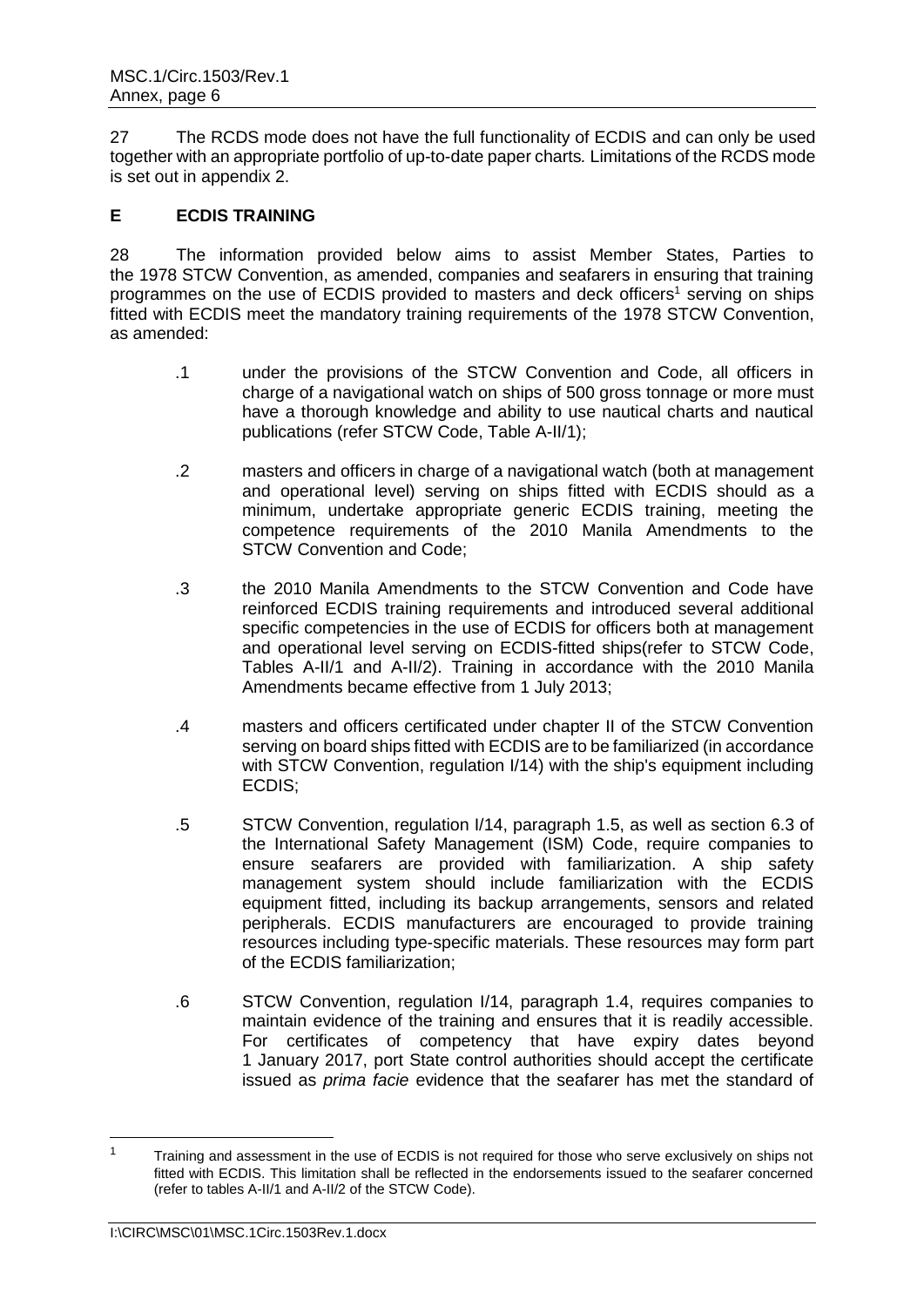27 The RCDS mode does not have the full functionality of ECDIS and can only be used together with an appropriate portfolio of up-to-date paper charts*.* Limitations of the RCDS mode is set out in appendix 2.

# <span id="page-7-0"></span>**E ECDIS TRAINING**

28 The information provided below aims to assist Member States, Parties to the 1978 STCW Convention, as amended, companies and seafarers in ensuring that training programmes on the use of ECDIS provided to masters and deck officers<sup>1</sup> serving on ships fitted with ECDIS meet the mandatory training requirements of the 1978 STCW Convention, as amended:

- .1 under the provisions of the STCW Convention and Code, all officers in charge of a navigational watch on ships of 500 gross tonnage or more must have a thorough knowledge and ability to use nautical charts and nautical publications (refer STCW Code, Table A-II/1);
- .2 masters and officers in charge of a navigational watch (both at management and operational level) serving on ships fitted with ECDIS should as a minimum, undertake appropriate generic ECDIS training, meeting the competence requirements of the 2010 Manila Amendments to the STCW Convention and Code;
- .3 the 2010 Manila Amendments to the STCW Convention and Code have reinforced ECDIS training requirements and introduced several additional specific competencies in the use of ECDIS for officers both at management and operational level serving on ECDIS-fitted ships(refer to STCW Code, Tables A-II/1 and A-II/2). Training in accordance with the 2010 Manila Amendments became effective from 1 July 2013;
- .4 masters and officers certificated under chapter II of the STCW Convention serving on board ships fitted with ECDIS are to be familiarized (in accordance with STCW Convention, regulation  $1/14$ ) with the ship's equipment including ECDIS;
- .5 STCW Convention, regulation I/14, paragraph 1.5, as well as section 6.3 of the International Safety Management (ISM) Code, require companies to ensure seafarers are provided with familiarization. A ship safety management system should include familiarization with the ECDIS equipment fitted, including its backup arrangements, sensors and related peripherals. ECDIS manufacturers are encouraged to provide training resources including type-specific materials. These resources may form part of the ECDIS familiarization;
- .6 STCW Convention, regulation I/14, paragraph 1.4, requires companies to maintain evidence of the training and ensures that it is readily accessible. For certificates of competency that have expiry dates beyond 1 January 2017, port State control authorities should accept the certificate issued as *prima facie* evidence that the seafarer has met the standard of

 $\overline{a}$ 

 $1 - 1$  Training and assessment in the use of ECDIS is not required for those who serve exclusively on ships not fitted with ECDIS. This limitation shall be reflected in the endorsements issued to the seafarer concerned (refer to tables A-II/1 and A-II/2 of the STCW Code).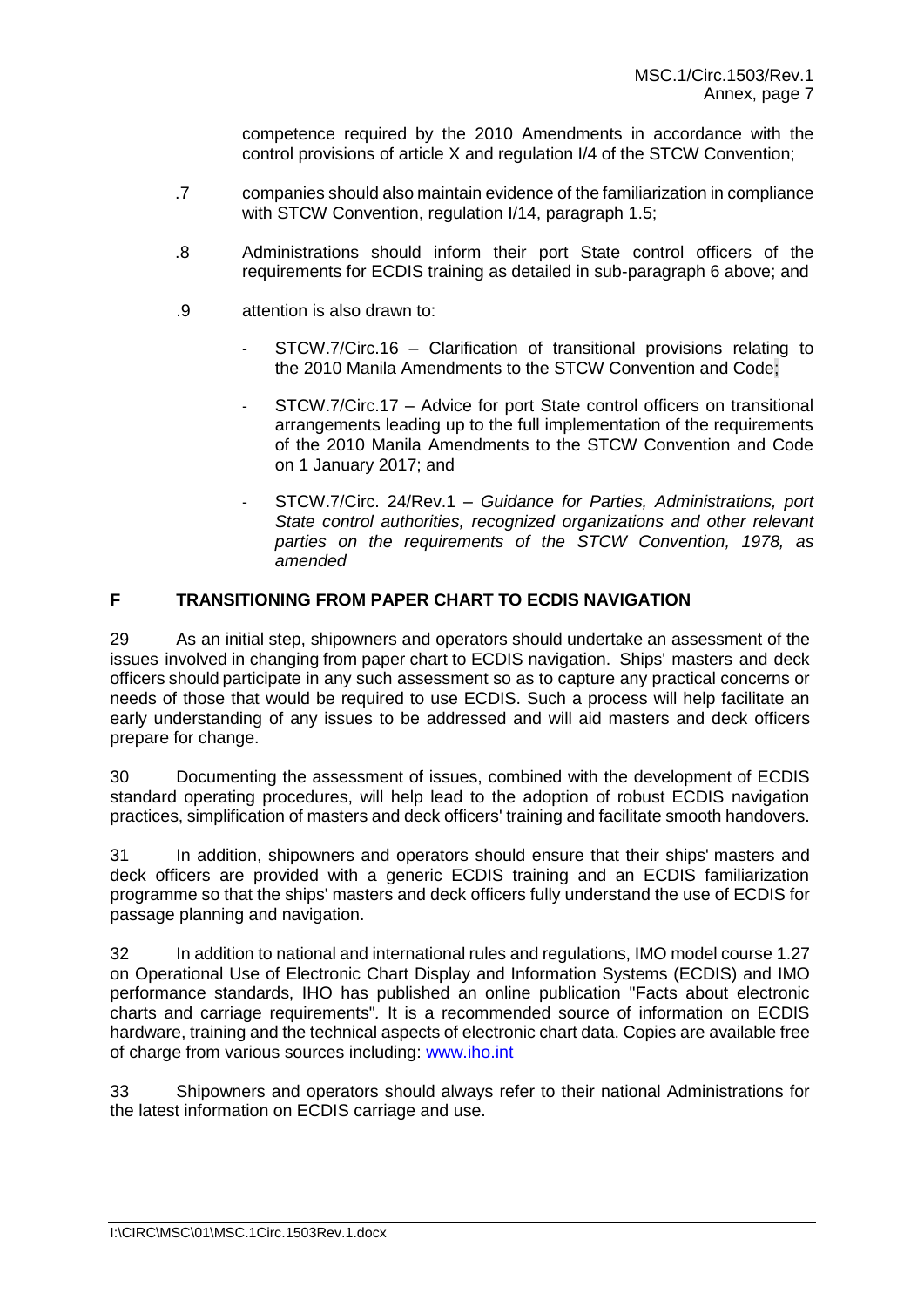competence required by the 2010 Amendments in accordance with the control provisions of article X and regulation I/4 of the STCW Convention;

- .7 companies should also maintain evidence of the familiarization in compliance with STCW Convention, regulation I/14, paragraph 1.5;
- .8 Administrations should inform their port State control officers of the requirements for ECDIS training as detailed in sub-paragraph 6 above; and
- .9 attention is also drawn to:
	- STCW.7/Circ.16 Clarification of transitional provisions relating to the 2010 Manila Amendments to the STCW Convention and Code;
	- STCW.7/Circ.17 Advice for port State control officers on transitional arrangements leading up to the full implementation of the requirements of the 2010 Manila Amendments to the STCW Convention and Code on 1 January 2017; and
	- STCW.7/Circ. 24/Rev.1 *Guidance for Parties, Administrations, port State control authorities, recognized organizations and other relevant parties on the requirements of the STCW Convention, 1978, as amended*

# <span id="page-8-0"></span>**F TRANSITIONING FROM PAPER CHART TO ECDIS NAVIGATION**

29 As an initial step, shipowners and operators should undertake an assessment of the issues involved in changing from paper chart to ECDIS navigation. Ships' masters and deck officers should participate in any such assessment so as to capture any practical concerns or needs of those that would be required to use ECDIS. Such a process will help facilitate an early understanding of any issues to be addressed and will aid masters and deck officers prepare for change.

30 Documenting the assessment of issues, combined with the development of ECDIS standard operating procedures, will help lead to the adoption of robust ECDIS navigation practices, simplification of masters and deck officers' training and facilitate smooth handovers.

31 In addition, shipowners and operators should ensure that their ships' masters and deck officers are provided with a generic ECDIS training and an ECDIS familiarization programme so that the ships' masters and deck officers fully understand the use of ECDIS for passage planning and navigation.

32 In addition to national and international rules and regulations, IMO model course 1.27 on Operational Use of Electronic Chart Display and Information Systems (ECDIS) and IMO performance standards, IHO has published an online publication "Facts about electronic charts and carriage requirements"*.* It is a recommended source of information on ECDIS hardware, training and the technical aspects of electronic chart data. Copies are available free of charge from various sources including: [www.iho.int](http://www.iho.int/)

33 Shipowners and operators should always refer to their national Administrations for the latest information on ECDIS carriage and use.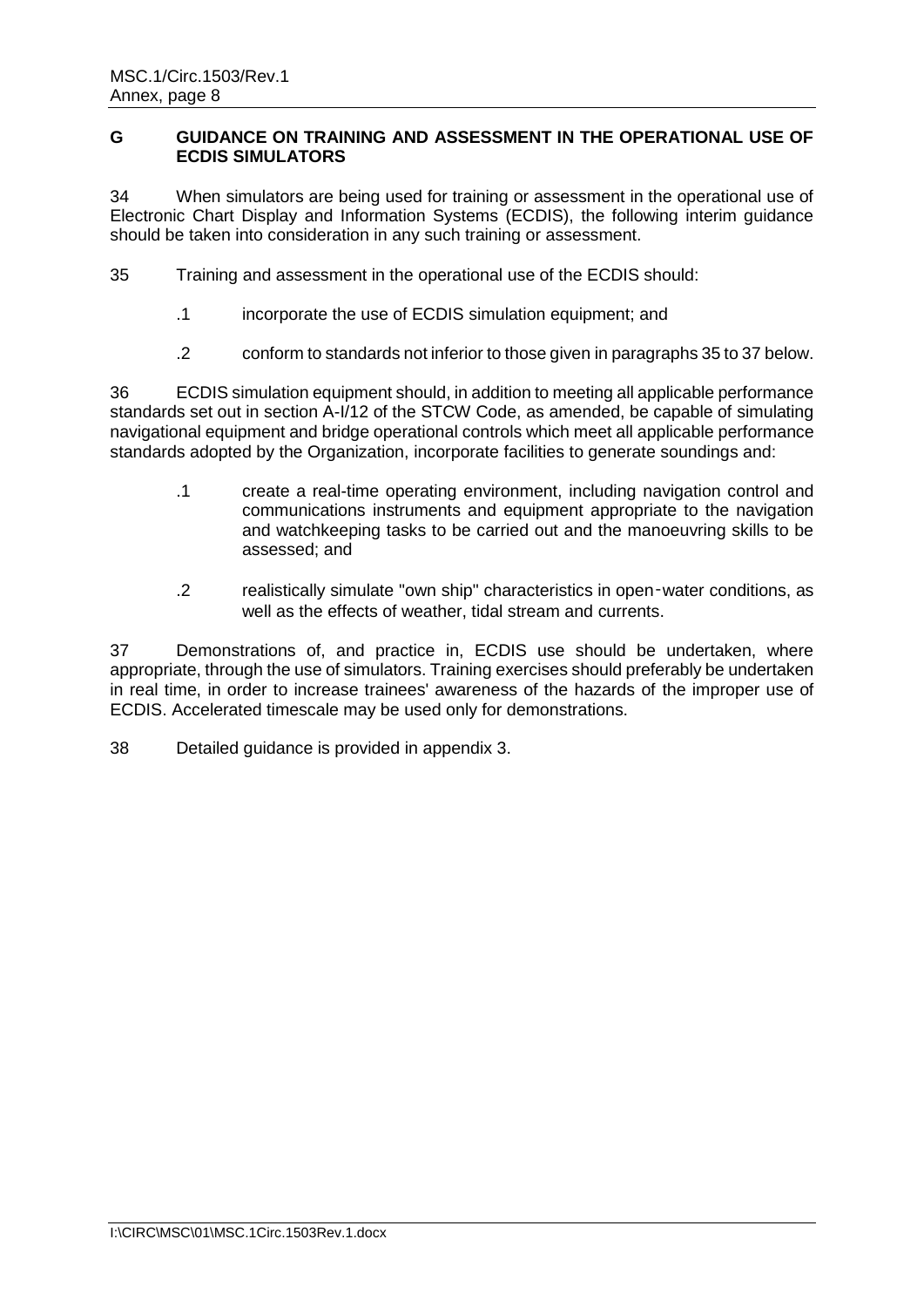# <span id="page-9-0"></span>**G GUIDANCE ON TRAINING AND ASSESSMENT IN THE OPERATIONAL USE OF ECDIS SIMULATORS**

34 When simulators are being used for training or assessment in the operational use of Electronic Chart Display and Information Systems (ECDIS), the following interim guidance should be taken into consideration in any such training or assessment.

- 35 Training and assessment in the operational use of the ECDIS should:
	- .1 incorporate the use of ECDIS simulation equipment; and
	- .2 conform to standards not inferior to those given in paragraphs 35 to 37 below.

36 ECDIS simulation equipment should, in addition to meeting all applicable performance standards set out in section A-I/12 of the STCW Code, as amended, be capable of simulating navigational equipment and bridge operational controls which meet all applicable performance standards adopted by the Organization, incorporate facilities to generate soundings and:

- .1 create a real-time operating environment, including navigation control and communications instruments and equipment appropriate to the navigation and watchkeeping tasks to be carried out and the manoeuvring skills to be assessed; and
- .2 realistically simulate "own ship" characteristics in open‑water conditions, as well as the effects of weather, tidal stream and currents.

37 Demonstrations of, and practice in, ECDIS use should be undertaken, where appropriate, through the use of simulators. Training exercises should preferably be undertaken in real time, in order to increase trainees' awareness of the hazards of the improper use of ECDIS. Accelerated timescale may be used only for demonstrations.

38 Detailed guidance is provided in appendix 3.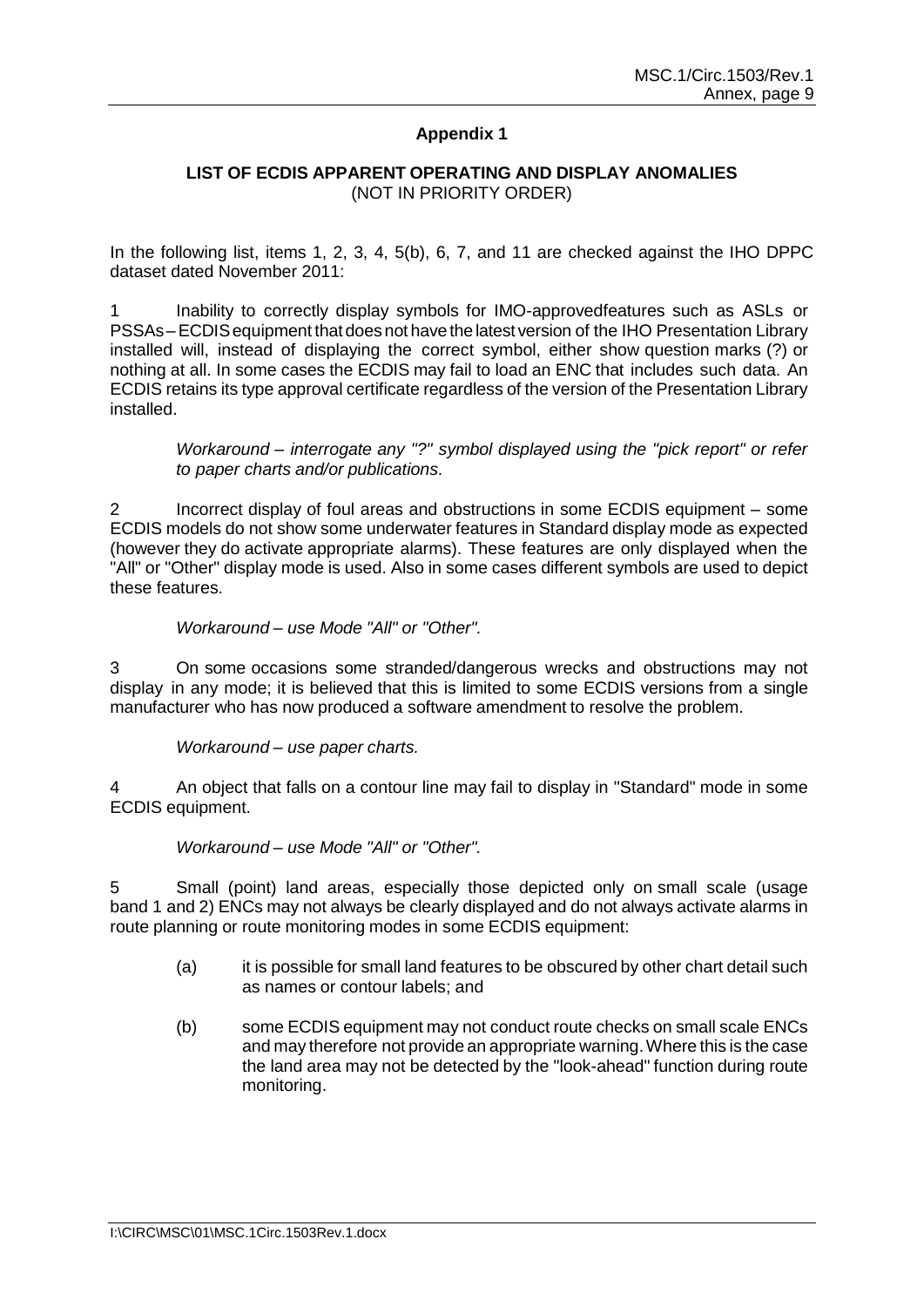# **Appendix 1**

#### **LIST OF ECDIS APPARENT OPERATING AND DISPLAY ANOMALIES** (NOT IN PRIORITY ORDER)

In the following list, items 1, 2, 3, 4, 5(b), 6, 7, and 11 are checked against the IHO DPPC dataset dated November 2011:

Inability to correctly display symbols for IMO-approvedfeatures such as ASLs or PSSAs–ECDISequipment that doesnot have the latest version of the IHO Presentation Library installed will, instead of displaying the correct symbol, either show question marks (?) or nothing at all. In some cases the ECDIS may fail to load an ENC that includes such data. An ECDIS retains its type approval certificate regardless of the version of the Presentation Library installed.

*Workaround – interrogate any "?" symbol displayed using the "pick report" or refer to paper charts and/or publications.*

2 Incorrect display of foul areas and obstructions in some ECDIS equipment – some ECDIS models do not show some underwater features in Standard display mode as expected (however they do activate appropriate alarms). These features are only displayed when the "All" or "Other" display mode is used. Also in some cases different symbols are used to depict these features.

#### *Workaround – use Mode "All" or "Other".*

3 On some occasions some stranded/dangerous wrecks and obstructions may not display in any mode; it is believed that this is limited to some ECDIS versions from a single manufacturer who has now produced a software amendment to resolve the problem.

*Workaround – use paper charts.*

4 An object that falls on a contour line may fail to display in "Standard" mode in some ECDIS equipment.

#### *Workaround – use Mode "All" or "Other".*

5 Small (point) land areas, especially those depicted only on small scale (usage band 1 and 2) ENCs may not always be clearly displayed and do not always activate alarms in route planning or route monitoring modes in some ECDIS equipment:

- (a) it is possible for small land features to be obscured by other chart detail such as names or contour labels; and
- (b) some ECDIS equipment may not conduct route checks on small scale ENCs and may therefore not provide an appropriate warning.Where this is the case the land area may not be detected by the "look-ahead" function during route monitoring.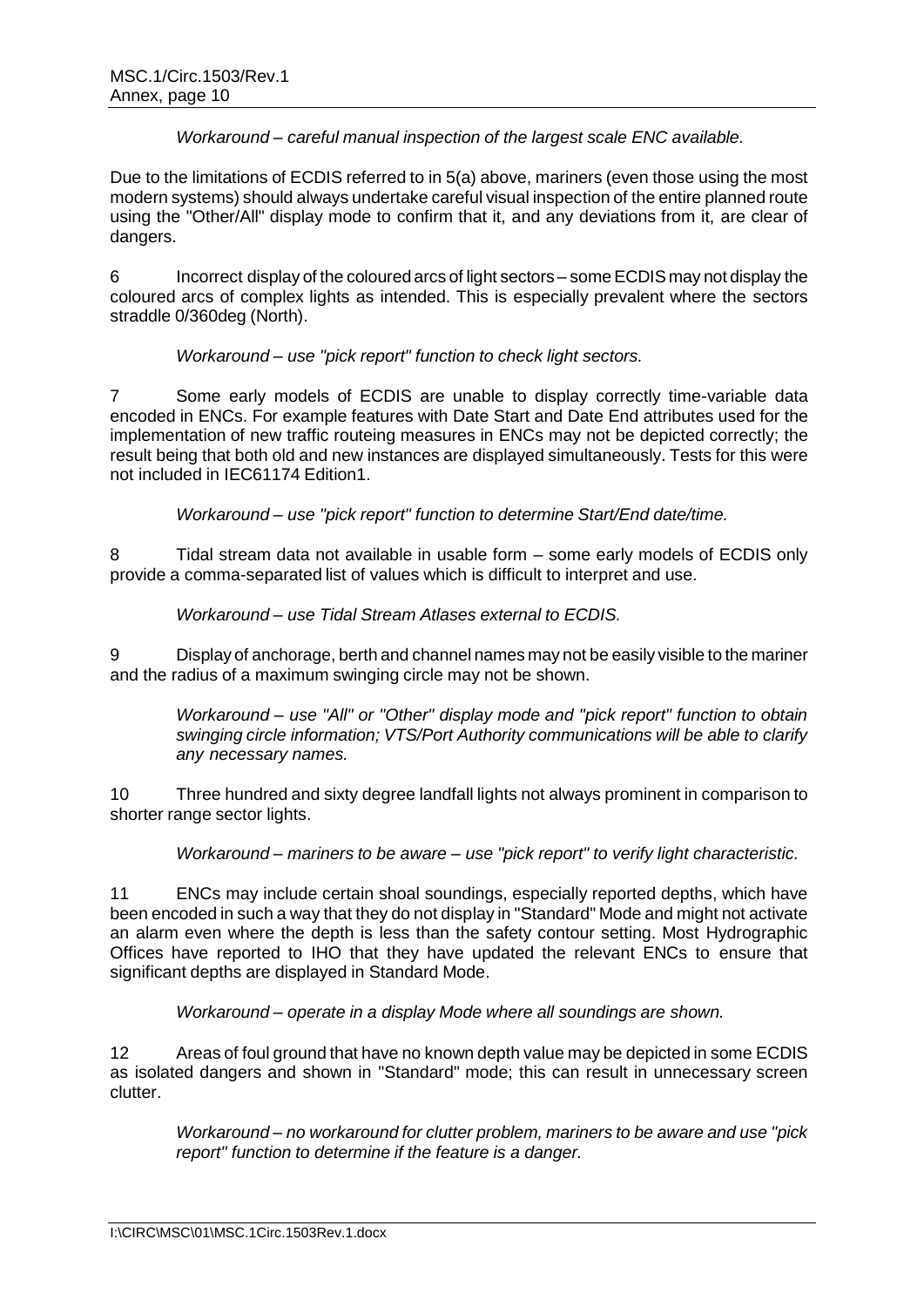## *Workaround – careful manual inspection of the largest scale ENC available.*

Due to the limitations of ECDIS referred to in 5(a) above, mariners (even those using the most modern systems) should always undertake careful visual inspection of the entire planned route using the "Other/All" display mode to confirm that it, and any deviations from it, are clear of dangers.

6 Incorrect display of the coloured arcs of light sectors – someECDIS may not display the coloured arcs of complex lights as intended. This is especially prevalent where the sectors straddle 0/360deg (North).

*Workaround – use "pick report" function to check light sectors.*

7 Some early models of ECDIS are unable to display correctly time-variable data encoded in ENCs. For example features with Date Start and Date End attributes used for the implementation of new traffic routeing measures in ENCs may not be depicted correctly; the result being that both old and new instances are displayed simultaneously. Tests for this were not included in IEC61174 Edition1.

*Workaround – use "pick report" function to determine Start/End date/time.*

8 Tidal stream data not available in usable form – some early models of ECDIS only provide a comma-separated list of values which is difficult to interpret and use.

*Workaround – use Tidal Stream Atlases external to ECDIS.*

9 Display of anchorage, berth and channel names may not be easily visible to the mariner and the radius of a maximum swinging circle may not be shown.

*Workaround – use "All" or "Other" display mode and "pick report" function to obtain swinging circle information; VTS/Port Authority communications will be able to clarify any necessary names.*

10 Three hundred and sixty degree landfall lights not always prominent in comparison to shorter range sector lights.

*Workaround – mariners to be aware – use "pick report" to verify light characteristic.*

11 ENCs may include certain shoal soundings, especially reported depths, which have been encoded in such a way that they do not display in "Standard" Mode and might not activate an alarm even where the depth is less than the safety contour setting. Most Hydrographic Offices have reported to IHO that they have updated the relevant ENCs to ensure that significant depths are displayed in Standard Mode.

*Workaround – operate in a display Mode where all soundings are shown.*

12 Areas of foul ground that have no known depth value may be depicted in some ECDIS as isolated dangers and shown in "Standard" mode; this can result in unnecessary screen clutter.

*Workaround – no workaround for clutter problem, mariners to be aware and use "pick report" function to determine if the feature is a danger.*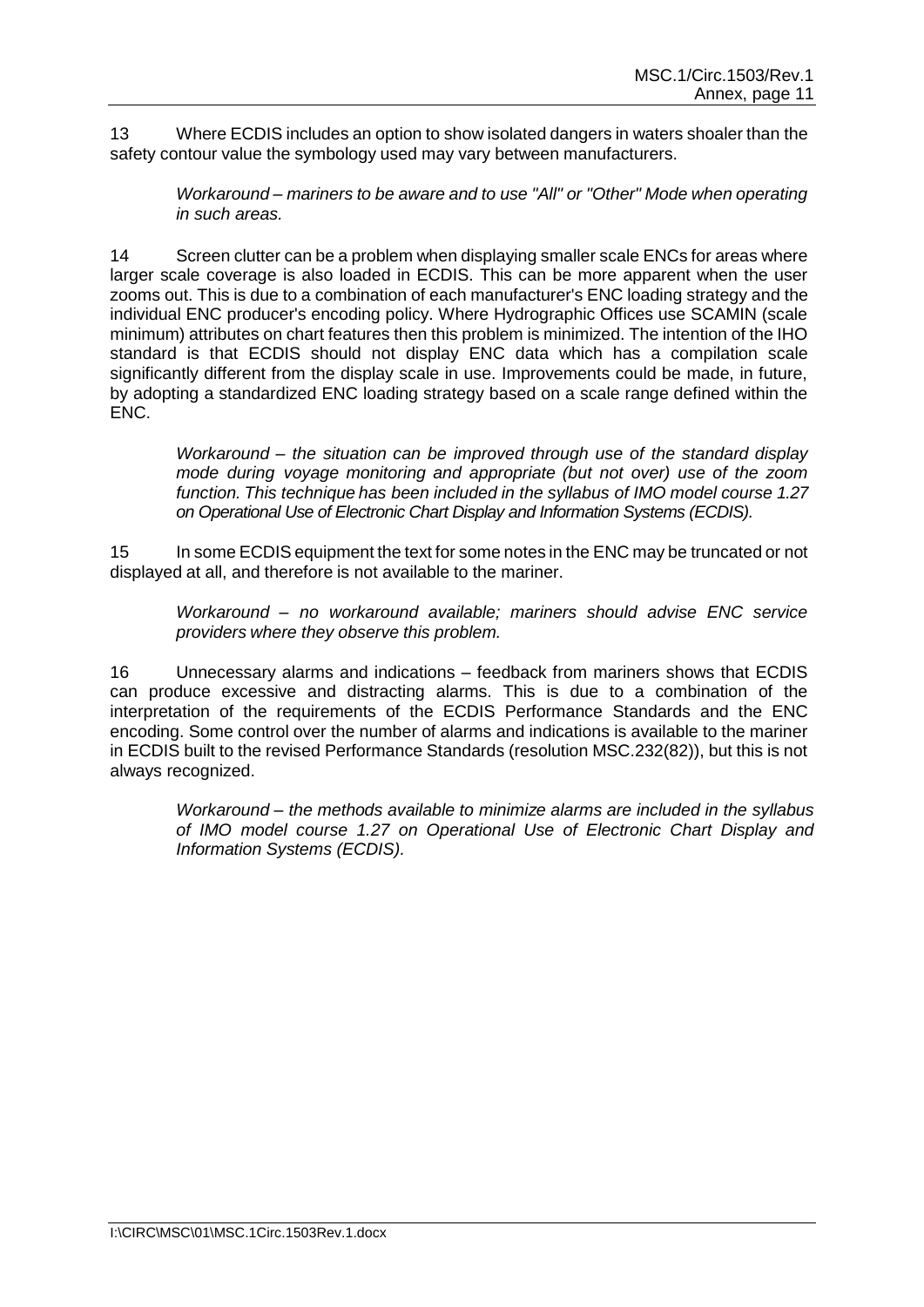13 Where ECDIS includes an option to show isolated dangers in waters shoaler than the safety contour value the symbology used may vary between manufacturers.

*Workaround – mariners to be aware and to use "All" or "Other" Mode when operating in such areas.*

14 Screen clutter can be a problem when displaying smaller scale ENCs for areas where larger scale coverage is also loaded in ECDIS. This can be more apparent when the user zooms out. This is due to a combination of each manufacturer's ENC loading strategy and the individual ENC producer's encoding policy. Where Hydrographic Offices use SCAMIN (scale minimum) attributes on chart features then this problem is minimized. The intention of the IHO standard is that ECDIS should not display ENC data which has a compilation scale significantly different from the display scale in use. Improvements could be made, in future, by adopting a standardized ENC loading strategy based on a scale range defined within the ENC.

*Workaround – the situation can be improved through use of the standard display mode during voyage monitoring and appropriate (but not over) use of the zoom function. This technique has been included in the syllabus of IMO model course 1.27 on Operational Use of Electronic Chart Display and Information Systems (ECDIS).*

15 In some ECDIS equipment the text for some notes in the ENC may be truncated or not displayed at all, and therefore is not available to the mariner.

*Workaround – no workaround available; mariners should advise ENC service providers where they observe this problem.*

16 Unnecessary alarms and indications – feedback from mariners shows that ECDIS can produce excessive and distracting alarms. This is due to a combination of the interpretation of the requirements of the ECDIS Performance Standards and the ENC encoding. Some control over the number of alarms and indications is available to the mariner in ECDIS built to the revised Performance Standards (resolution MSC.232(82)), but this is not always recognized.

*Workaround – the methods available to minimize alarms are included in the syllabus of IMO model course 1.27 on Operational Use of Electronic Chart Display and Information Systems (ECDIS).*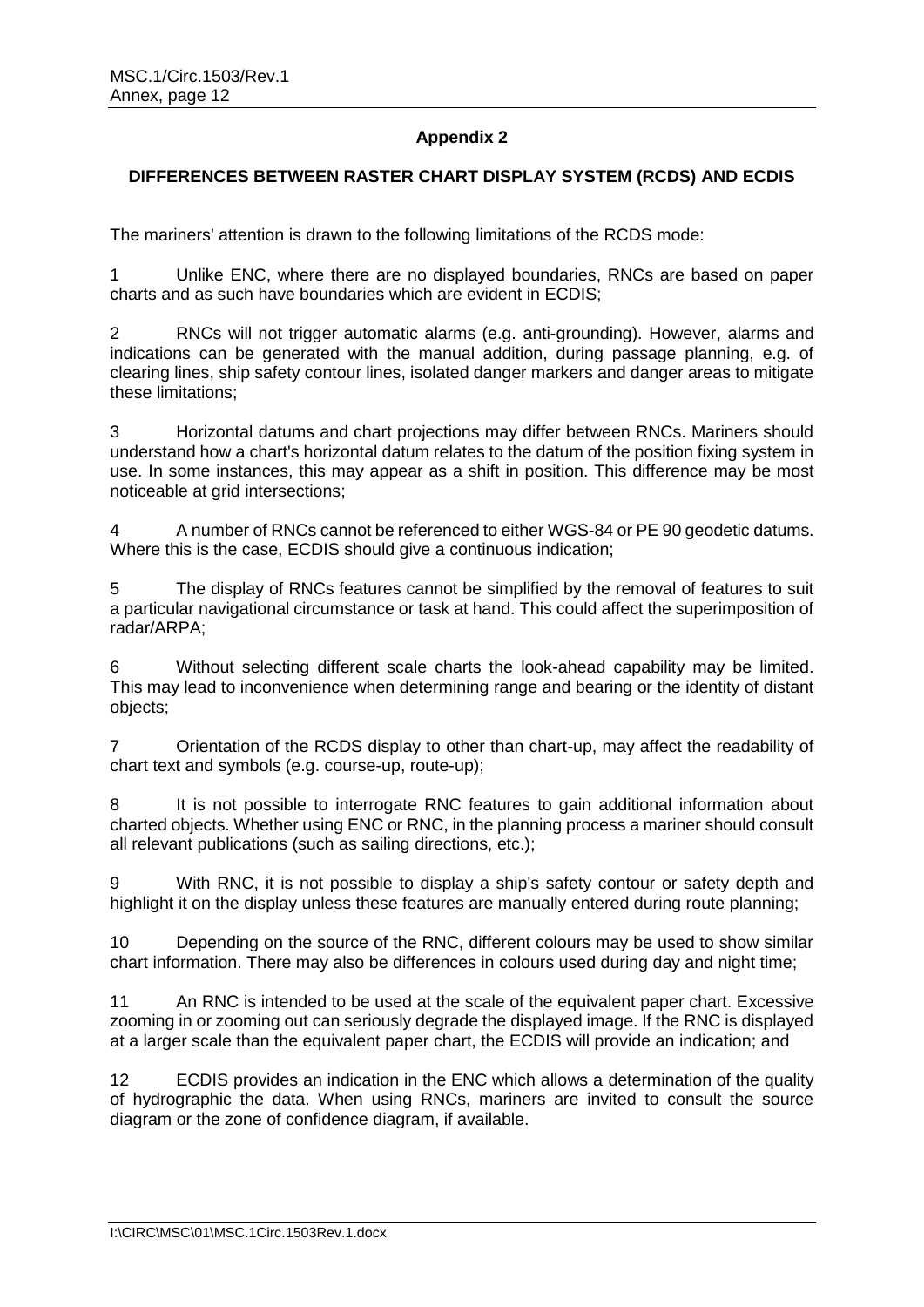# **Appendix 2**

## **DIFFERENCES BETWEEN RASTER CHART DISPLAY SYSTEM (RCDS) AND ECDIS**

The mariners' attention is drawn to the following limitations of the RCDS mode:

1 Unlike ENC, where there are no displayed boundaries, RNCs are based on paper charts and as such have boundaries which are evident in ECDIS;

2 RNCs will not trigger automatic alarms (e.g. anti-grounding). However, alarms and indications can be generated with the manual addition, during passage planning, e.g. of clearing lines, ship safety contour lines, isolated danger markers and danger areas to mitigate these limitations;

3 Horizontal datums and chart projections may differ between RNCs. Mariners should understand how a chart's horizontal datum relates to the datum of the position fixing system in use. In some instances, this may appear as a shift in position. This difference may be most noticeable at grid intersections;

4 A number of RNCs cannot be referenced to either WGS-84 or PE 90 geodetic datums. Where this is the case, ECDIS should give a continuous indication;

5 The display of RNCs features cannot be simplified by the removal of features to suit a particular navigational circumstance or task at hand. This could affect the superimposition of radar/ARPA;

6 Without selecting different scale charts the look-ahead capability may be limited. This may lead to inconvenience when determining range and bearing or the identity of distant objects;

7 Orientation of the RCDS display to other than chart-up, may affect the readability of chart text and symbols (e.g. course-up, route-up);

8 It is not possible to interrogate RNC features to gain additional information about charted objects. Whether using ENC or RNC, in the planning process a mariner should consult all relevant publications (such as sailing directions, etc.);

9 With RNC, it is not possible to display a ship's safety contour or safety depth and highlight it on the display unless these features are manually entered during route planning;

10 Depending on the source of the RNC, different colours may be used to show similar chart information. There may also be differences in colours used during day and night time;

11 An RNC is intended to be used at the scale of the equivalent paper chart. Excessive zooming in or zooming out can seriously degrade the displayed image. If the RNC is displayed at a larger scale than the equivalent paper chart, the ECDIS will provide an indication; and

12 ECDIS provides an indication in the ENC which allows a determination of the quality of hydrographic the data. When using RNCs, mariners are invited to consult the source diagram or the zone of confidence diagram, if available.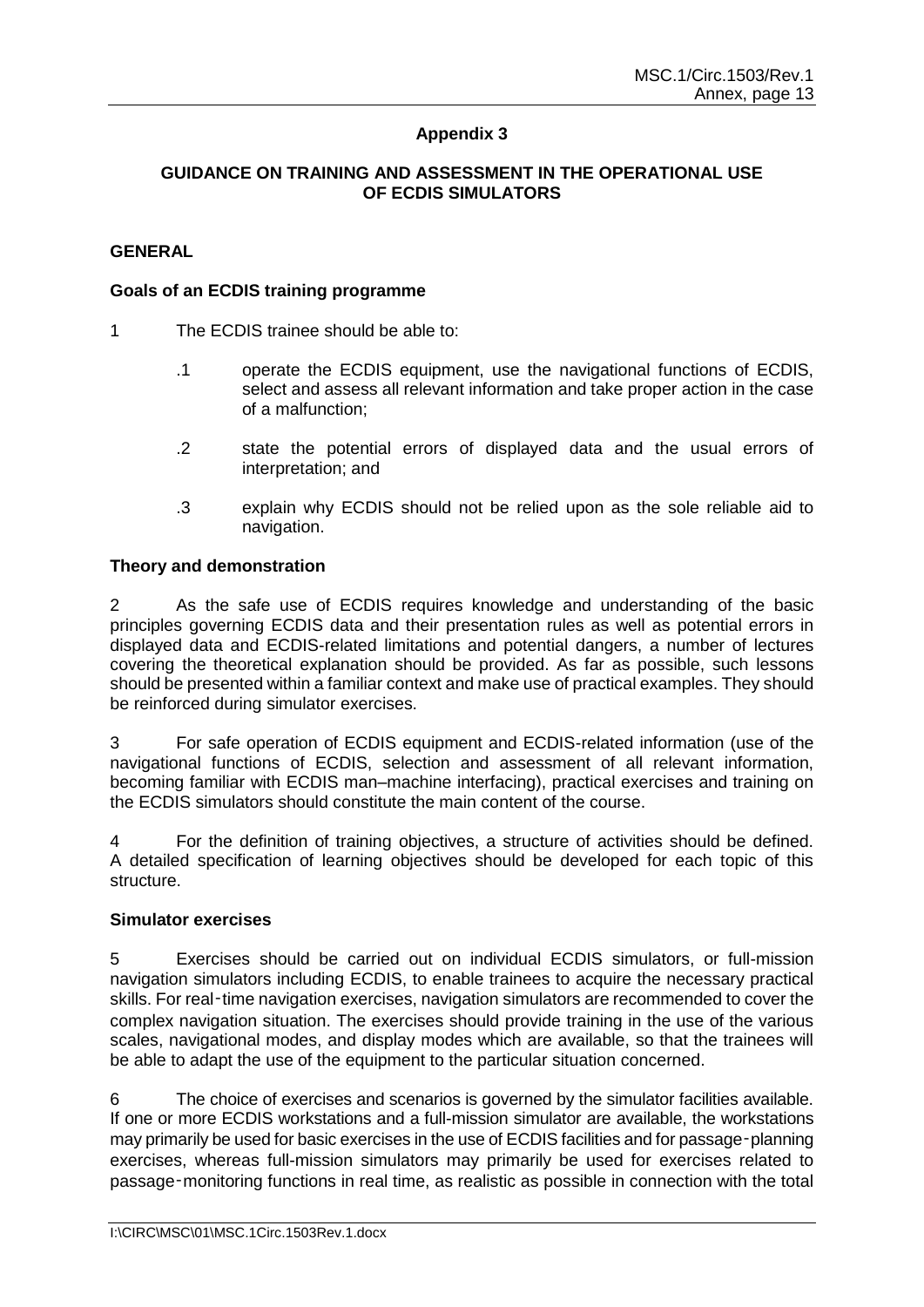# **Appendix 3**

## **GUIDANCE ON TRAINING AND ASSESSMENT IN THE OPERATIONAL USE OF ECDIS SIMULATORS**

## **GENERAL**

#### **Goals of an ECDIS training programme**

- 1 The ECDIS trainee should be able to:
	- .1 operate the ECDIS equipment, use the navigational functions of ECDIS, select and assess all relevant information and take proper action in the case of a malfunction;
	- .2 state the potential errors of displayed data and the usual errors of interpretation; and
	- .3 explain why ECDIS should not be relied upon as the sole reliable aid to navigation.

#### **Theory and demonstration**

2 As the safe use of ECDIS requires knowledge and understanding of the basic principles governing ECDIS data and their presentation rules as well as potential errors in displayed data and ECDIS-related limitations and potential dangers, a number of lectures covering the theoretical explanation should be provided. As far as possible, such lessons should be presented within a familiar context and make use of practical examples. They should be reinforced during simulator exercises.

3 For safe operation of ECDIS equipment and ECDIS-related information (use of the navigational functions of ECDIS, selection and assessment of all relevant information, becoming familiar with ECDIS man–machine interfacing), practical exercises and training on the ECDIS simulators should constitute the main content of the course.

4 For the definition of training objectives, a structure of activities should be defined. A detailed specification of learning objectives should be developed for each topic of this structure.

#### **Simulator exercises**

5 Exercises should be carried out on individual ECDIS simulators, or full-mission navigation simulators including ECDIS, to enable trainees to acquire the necessary practical skills. For real-time navigation exercises, navigation simulators are recommended to cover the complex navigation situation. The exercises should provide training in the use of the various scales, navigational modes, and display modes which are available, so that the trainees will be able to adapt the use of the equipment to the particular situation concerned.

6 The choice of exercises and scenarios is governed by the simulator facilities available. If one or more ECDIS workstations and a full-mission simulator are available, the workstations may primarily be used for basic exercises in the use of ECDIS facilities and for passage-planning exercises, whereas full-mission simulators may primarily be used for exercises related to passage‑monitoring functions in real time, as realistic as possible in connection with the total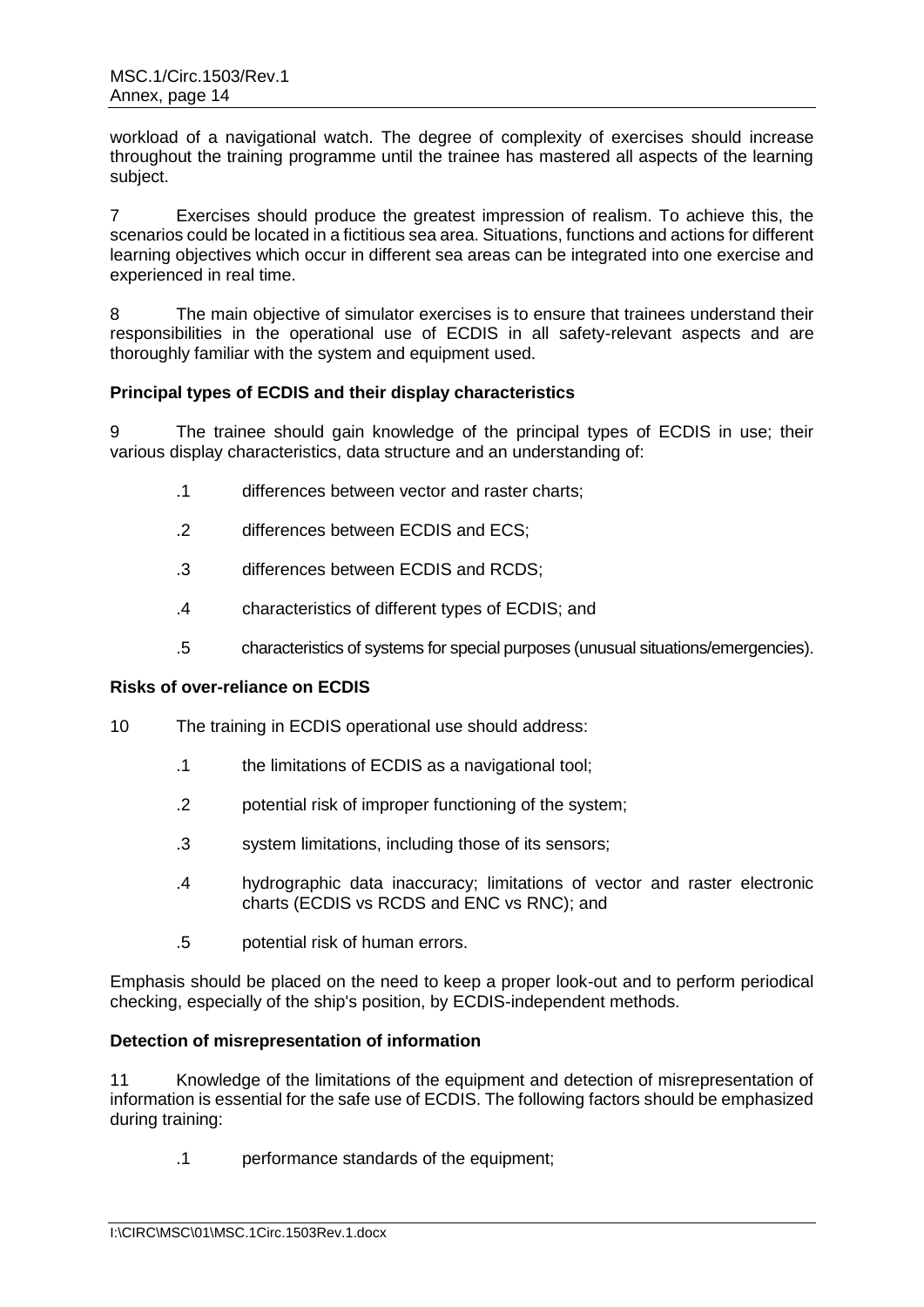workload of a navigational watch. The degree of complexity of exercises should increase throughout the training programme until the trainee has mastered all aspects of the learning subject.

7 Exercises should produce the greatest impression of realism. To achieve this, the scenarios could be located in a fictitious sea area. Situations, functions and actions for different learning objectives which occur in different sea areas can be integrated into one exercise and experienced in real time.

8 The main objective of simulator exercises is to ensure that trainees understand their responsibilities in the operational use of ECDIS in all safety-relevant aspects and are thoroughly familiar with the system and equipment used.

## **Principal types of ECDIS and their display characteristics**

9 The trainee should gain knowledge of the principal types of ECDIS in use; their various display characteristics, data structure and an understanding of:

- .1 differences between vector and raster charts;
- .2 differences between ECDIS and ECS;
- .3 differences between ECDIS and RCDS;
- .4 characteristics of different types of ECDIS; and
- .5 characteristics of systems for special purposes (unusual situations/emergencies).

## **Risks of over-reliance on ECDIS**

- 10 The training in ECDIS operational use should address:
	- .1 the limitations of ECDIS as a navigational tool;
	- .2 potential risk of improper functioning of the system;
	- .3 system limitations, including those of its sensors;
	- .4 hydrographic data inaccuracy; limitations of vector and raster electronic charts (ECDIS vs RCDS and ENC vs RNC); and
	- .5 potential risk of human errors.

Emphasis should be placed on the need to keep a proper look-out and to perform periodical checking, especially of the ship's position, by ECDIS-independent methods.

## **Detection of misrepresentation of information**

11 Knowledge of the limitations of the equipment and detection of misrepresentation of information is essential for the safe use of ECDIS. The following factors should be emphasized during training:

.1 performance standards of the equipment;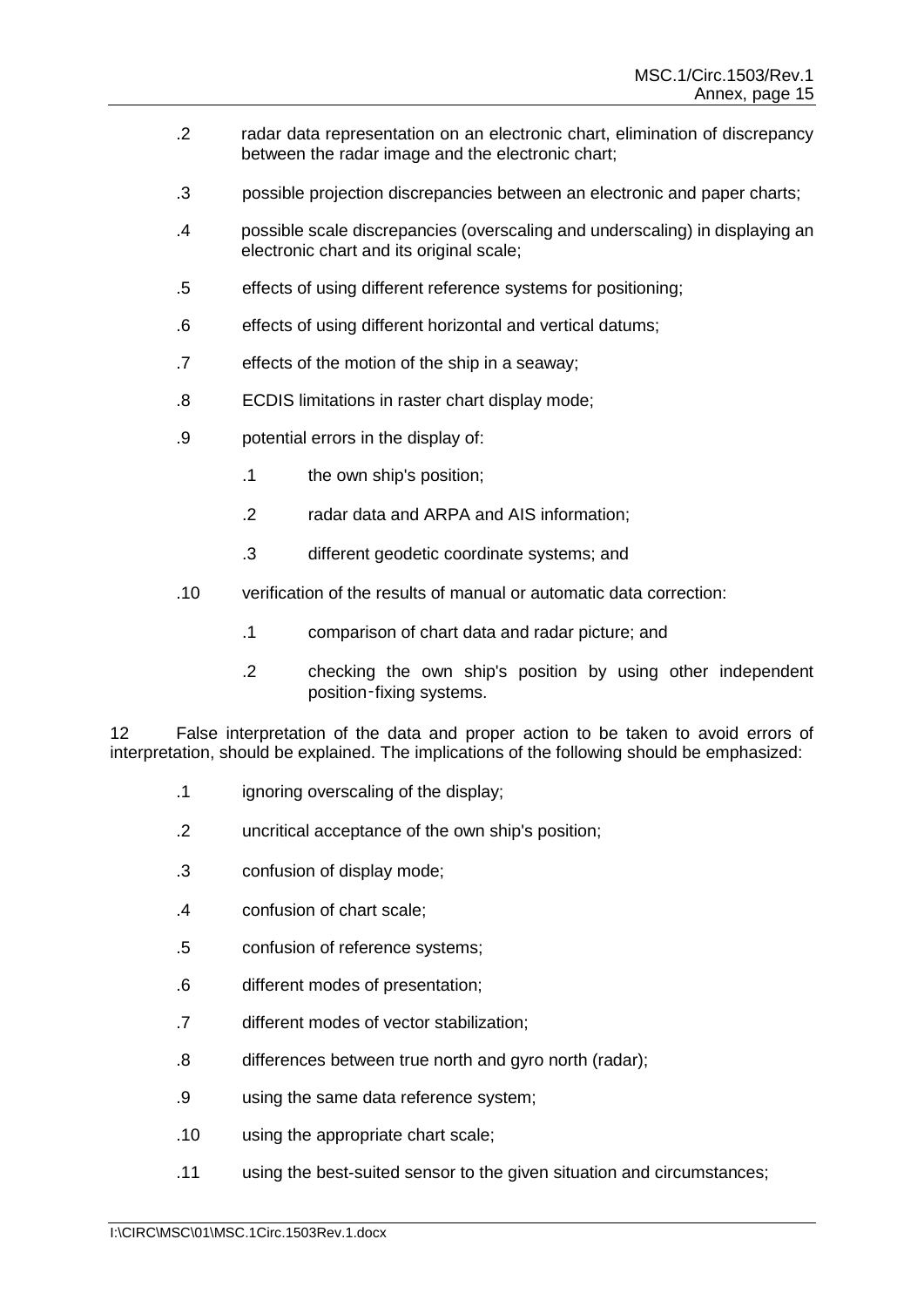- .2 radar data representation on an electronic chart, elimination of discrepancy between the radar image and the electronic chart;
- .3 possible projection discrepancies between an electronic and paper charts;
- .4 possible scale discrepancies (overscaling and underscaling) in displaying an electronic chart and its original scale;
- .5 effects of using different reference systems for positioning;
- .6 effects of using different horizontal and vertical datums;
- .7 effects of the motion of the ship in a seaway;
- .8 ECDIS limitations in raster chart display mode;
- .9 potential errors in the display of:
	- .1 the own ship's position;
	- .2 radar data and ARPA and AIS information;
	- .3 different geodetic coordinate systems; and
- .10 verification of the results of manual or automatic data correction:
	- .1 comparison of chart data and radar picture; and
	- .2 checking the own ship's position by using other independent position-fixing systems.

12 False interpretation of the data and proper action to be taken to avoid errors of interpretation, should be explained. The implications of the following should be emphasized:

- .1 ignoring overscaling of the display;
- .2 uncritical acceptance of the own ship's position;
- .3 confusion of display mode;
- .4 confusion of chart scale;
- .5 confusion of reference systems;
- .6 different modes of presentation;
- .7 different modes of vector stabilization;
- .8 differences between true north and gyro north (radar);
- .9 using the same data reference system;
- .10 using the appropriate chart scale;
- .11 using the best-suited sensor to the given situation and circumstances;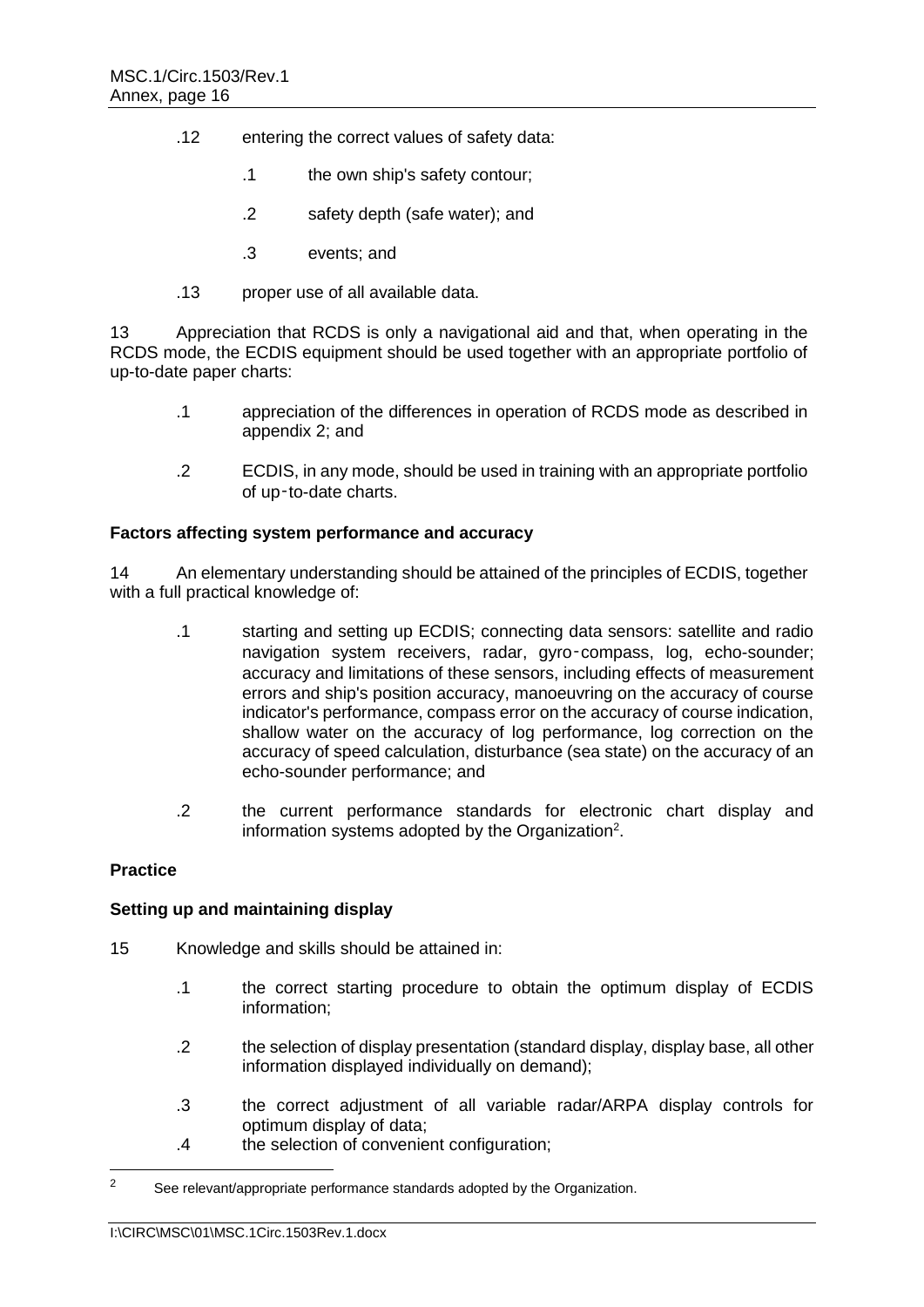- .12 entering the correct values of safety data:
	- .1 the own ship's safety contour;
	- .2 safety depth (safe water); and
	- .3 events; and
- .13 proper use of all available data.

13 Appreciation that RCDS is only a navigational aid and that, when operating in the RCDS mode, the ECDIS equipment should be used together with an appropriate portfolio of up-to-date paper charts:

- .1 appreciation of the differences in operation of RCDS mode as described in appendix 2; and
- .2 ECDIS, in any mode, should be used in training with an appropriate portfolio of up‑to-date charts.

## **Factors affecting system performance and accuracy**

14 An elementary understanding should be attained of the principles of ECDIS, together with a full practical knowledge of:

- .1 starting and setting up ECDIS; connecting data sensors: satellite and radio navigation system receivers, radar, gyro-compass, log, echo-sounder; accuracy and limitations of these sensors, including effects of measurement errors and ship's position accuracy, manoeuvring on the accuracy of course indicator's performance, compass error on the accuracy of course indication, shallow water on the accuracy of log performance, log correction on the accuracy of speed calculation, disturbance (sea state) on the accuracy of an echo-sounder performance; and
- .2 the current performance standards for electronic chart display and information systems adopted by the Organization<sup>2</sup>.

## **Practice**

## **Setting up and maintaining display**

- 15 Knowledge and skills should be attained in:
	- .1 the correct starting procedure to obtain the optimum display of ECDIS information;
	- .2 the selection of display presentation (standard display, display base, all other information displayed individually on demand);
	- .3 the correct adjustment of all variable radar/ARPA display controls for optimum display of data;
	- .4 the selection of convenient configuration;

 $\overline{2}$ See relevant/appropriate performance standards adopted by the Organization.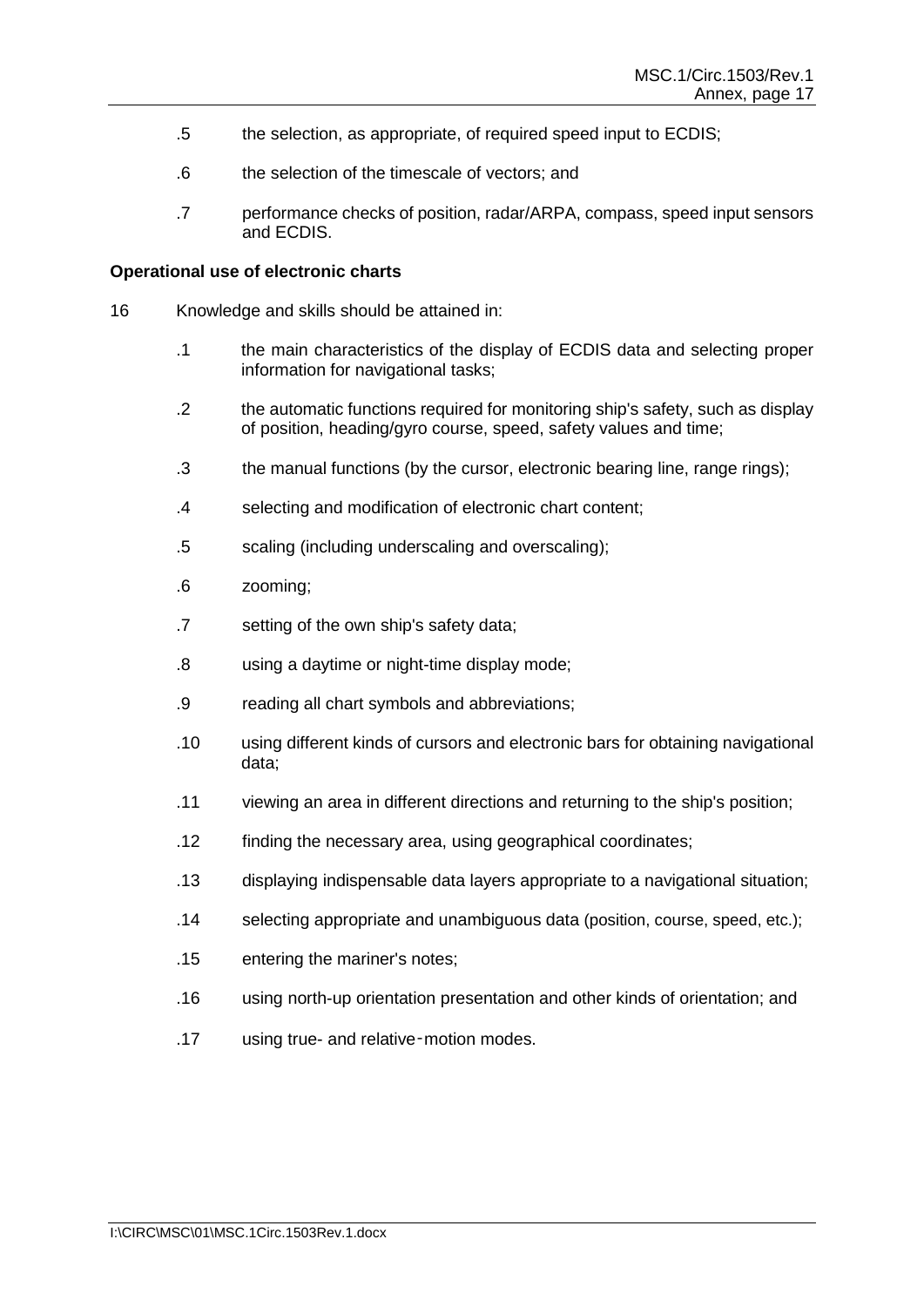- .5 the selection, as appropriate, of required speed input to ECDIS;
- .6 the selection of the timescale of vectors; and
- .7 performance checks of position, radar/ARPA, compass, speed input sensors and ECDIS.

#### **Operational use of electronic charts**

- 16 Knowledge and skills should be attained in:
	- .1 the main characteristics of the display of ECDIS data and selecting proper information for navigational tasks;
	- .2 the automatic functions required for monitoring ship's safety, such as display of position, heading/gyro course, speed, safety values and time;
	- .3 the manual functions (by the cursor, electronic bearing line, range rings);
	- .4 selecting and modification of electronic chart content;
	- .5 scaling (including underscaling and overscaling);
	- .6 zooming;
	- .7 setting of the own ship's safety data;
	- .8 using a daytime or night-time display mode;
	- .9 reading all chart symbols and abbreviations;
	- .10 using different kinds of cursors and electronic bars for obtaining navigational data;
	- .11 viewing an area in different directions and returning to the ship's position;
	- .12 finding the necessary area, using geographical coordinates;
	- .13 displaying indispensable data layers appropriate to a navigational situation;
	- .14 selecting appropriate and unambiguous data (position, course, speed, etc.);
	- .15 entering the mariner's notes;
	- .16 using north-up orientation presentation and other kinds of orientation; and
	- .17 using true- and relative‑motion modes.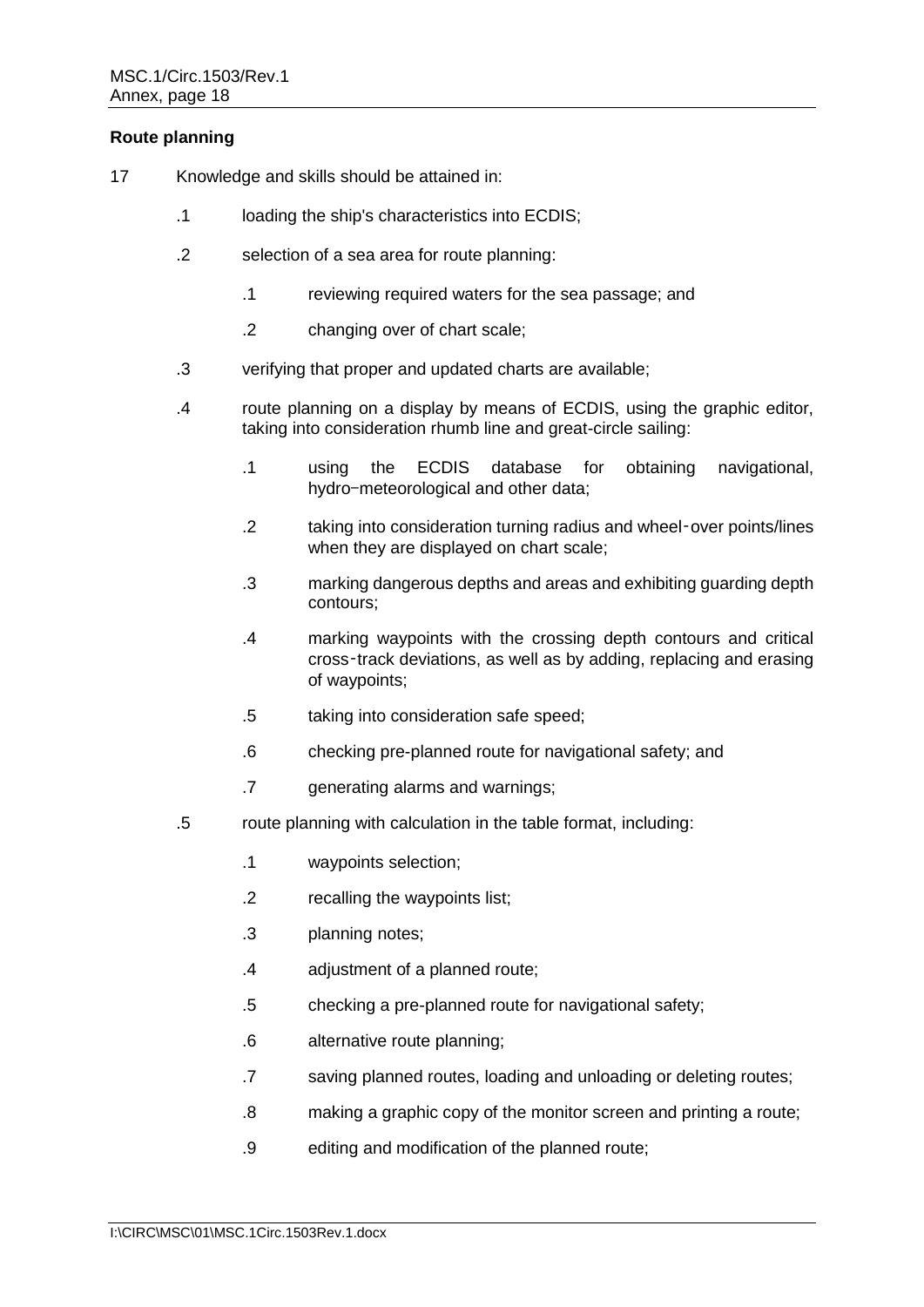# **Route planning**

- 17 Knowledge and skills should be attained in:
	- .1 loading the ship's characteristics into ECDIS;
	- .2 selection of a sea area for route planning:
		- .1 reviewing required waters for the sea passage; and
		- .2 changing over of chart scale;
	- .3 verifying that proper and updated charts are available;
	- .4 route planning on a display by means of ECDIS, using the graphic editor, taking into consideration rhumb line and great-circle sailing:
		- .1 using the ECDIS database for obtaining navigational, hydro-meteorological and other data;
		- .2 taking into consideration turning radius and wheel‑over points/lines when they are displayed on chart scale;
		- .3 marking dangerous depths and areas and exhibiting guarding depth contours;
		- .4 marking waypoints with the crossing depth contours and critical cross‑track deviations, as well as by adding, replacing and erasing of waypoints;
		- .5 taking into consideration safe speed;
		- .6 checking pre-planned route for navigational safety; and
		- .7 generating alarms and warnings;
	- .5 route planning with calculation in the table format, including:
		- .1 waypoints selection;
		- .2 recalling the waypoints list;
		- .3 planning notes;
		- .4 adjustment of a planned route;
		- .5 checking a pre-planned route for navigational safety;
		- .6 alternative route planning;
		- .7 saving planned routes, loading and unloading or deleting routes;
		- .8 making a graphic copy of the monitor screen and printing a route;
		- .9 editing and modification of the planned route;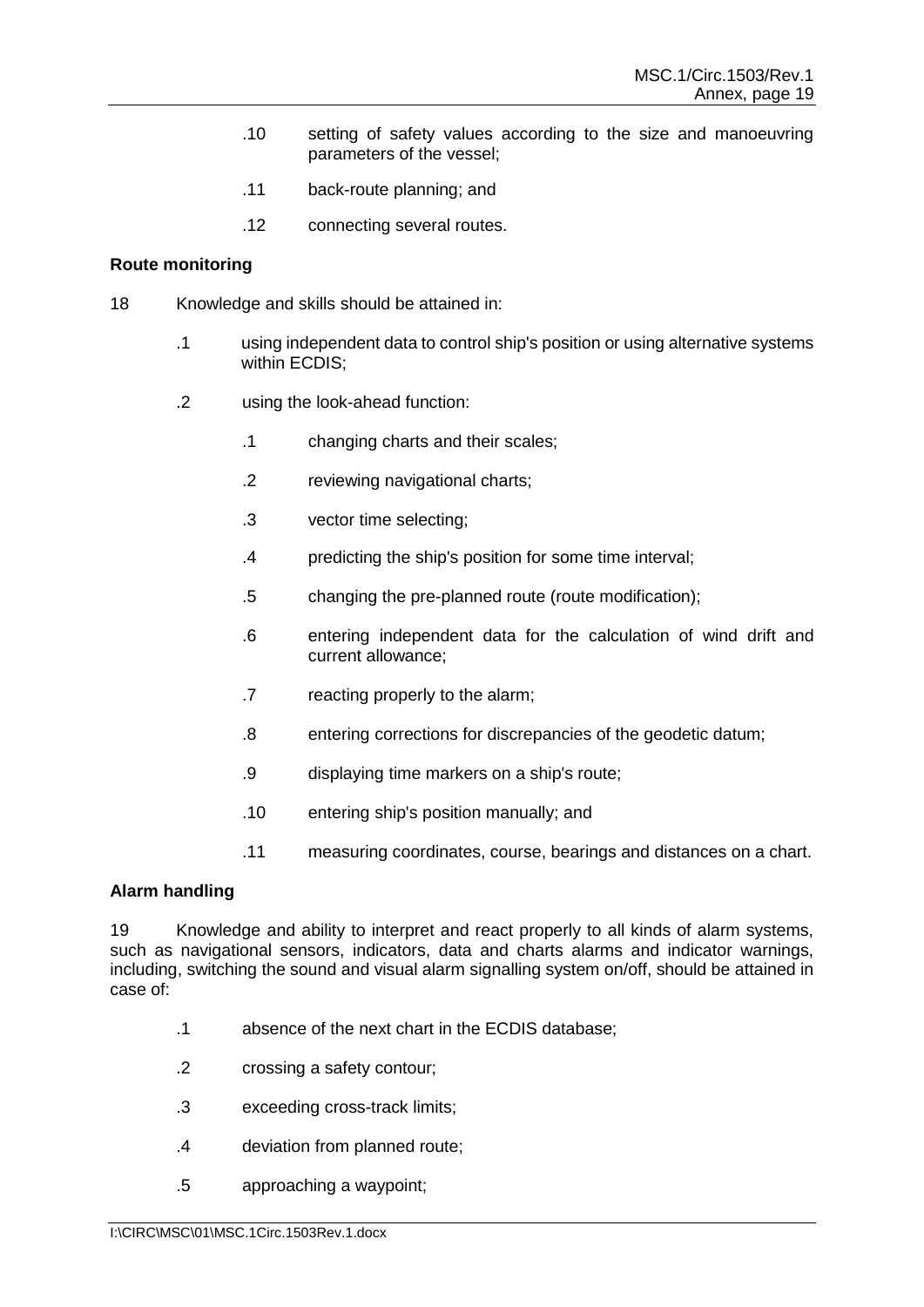- .10 setting of safety values according to the size and manoeuvring parameters of the vessel;
- .11 back-route planning; and
- .12 connecting several routes.

# **Route monitoring**

- 18 Knowledge and skills should be attained in:
	- .1 using independent data to control ship's position or using alternative systems within ECDIS;
	- .2 using the look-ahead function:
		- .1 changing charts and their scales;
		- .2 reviewing navigational charts;
		- .3 vector time selecting;
		- .4 predicting the ship's position for some time interval;
		- .5 changing the pre-planned route (route modification);
		- .6 entering independent data for the calculation of wind drift and current allowance;
		- .7 reacting properly to the alarm;
		- .8 entering corrections for discrepancies of the geodetic datum;
		- .9 displaying time markers on a ship's route;
		- .10 entering ship's position manually; and
		- .11 measuring coordinates, course, bearings and distances on a chart.

## **Alarm handling**

19 Knowledge and ability to interpret and react properly to all kinds of alarm systems, such as navigational sensors, indicators, data and charts alarms and indicator warnings, including, switching the sound and visual alarm signalling system on/off, should be attained in case of:

- .1 absence of the next chart in the ECDIS database;
- .2 crossing a safety contour;
- .3 exceeding cross-track limits;
- .4 deviation from planned route;
- .5 approaching a waypoint;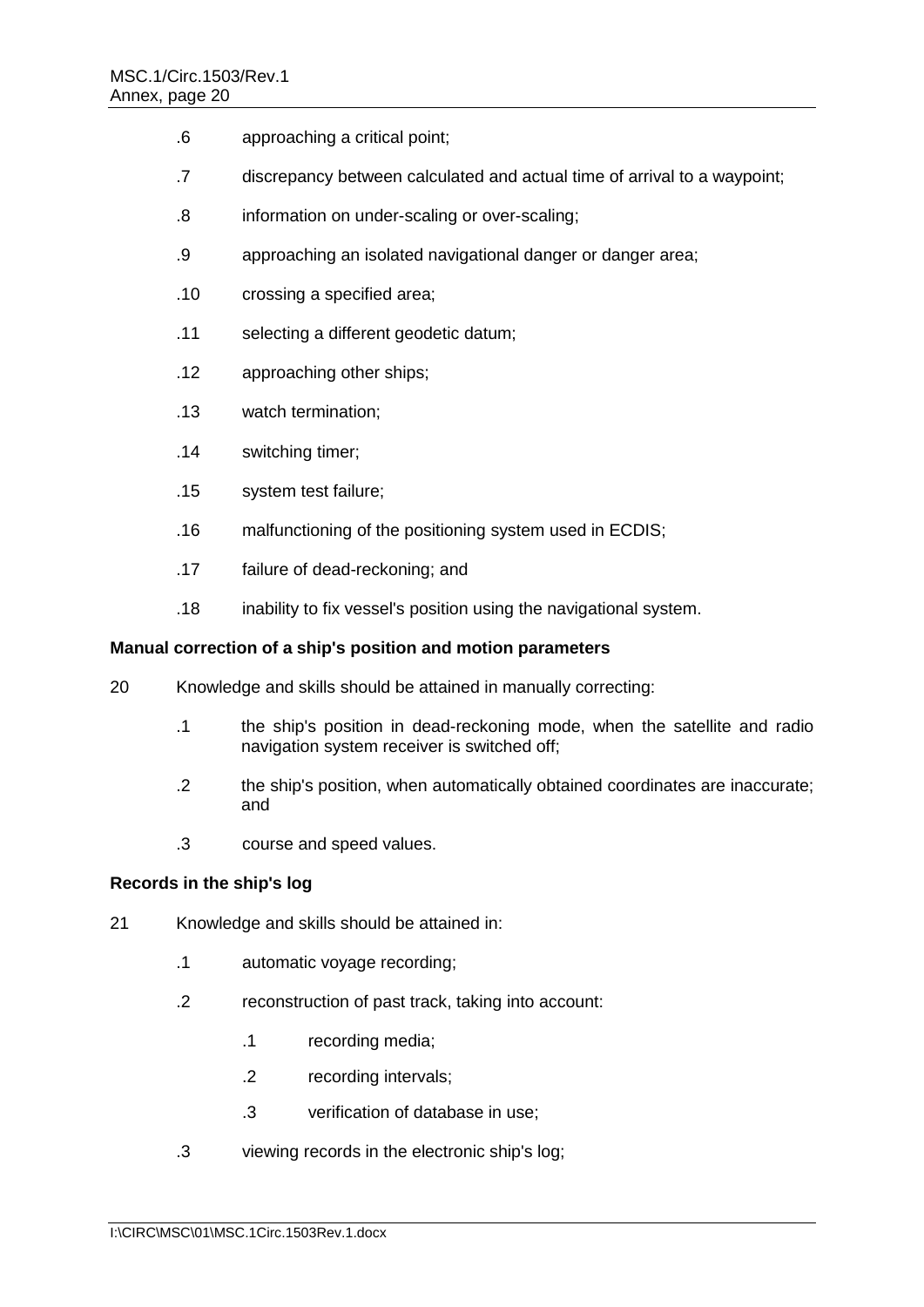- .6 approaching a critical point;
- .7 discrepancy between calculated and actual time of arrival to a waypoint;
- .8 information on under-scaling or over-scaling;
- .9 approaching an isolated navigational danger or danger area;
- .10 crossing a specified area;
- .11 selecting a different geodetic datum;
- .12 approaching other ships;
- .13 watch termination;
- .14 switching timer;
- .15 system test failure;
- .16 malfunctioning of the positioning system used in ECDIS;
- .17 failure of dead-reckoning; and
- .18 inability to fix vessel's position using the navigational system.

#### **Manual correction of a ship's position and motion parameters**

- 20 Knowledge and skills should be attained in manually correcting:
	- .1 the ship's position in dead-reckoning mode, when the satellite and radio navigation system receiver is switched off;
	- .2 the ship's position, when automatically obtained coordinates are inaccurate; and
	- .3 course and speed values.

## **Records in the ship's log**

- 21 Knowledge and skills should be attained in:
	- .1 automatic voyage recording;
	- .2 reconstruction of past track, taking into account:
		- .1 recording media;
		- .2 recording intervals;
		- .3 verification of database in use;
	- .3 viewing records in the electronic ship's log;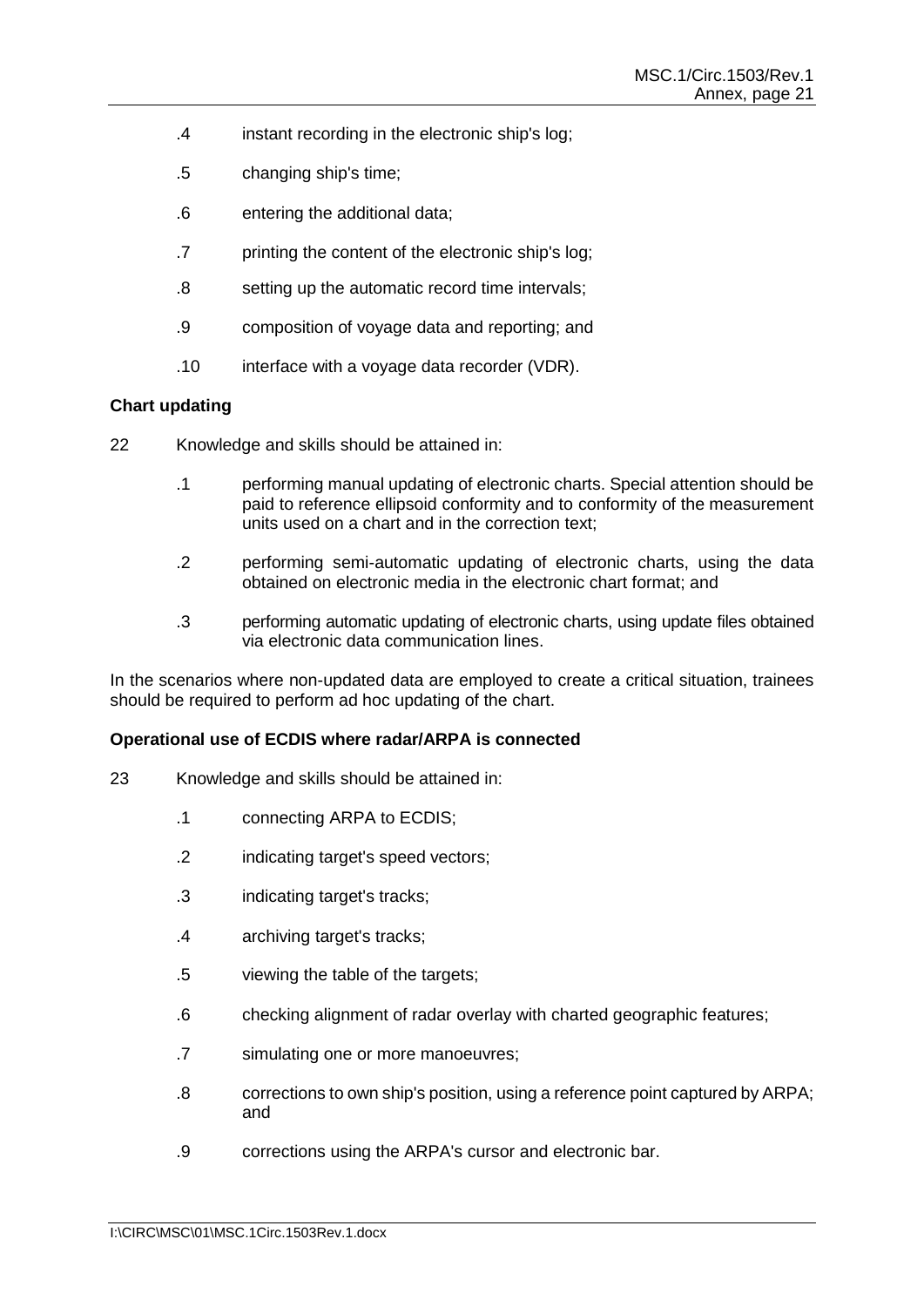- .4 instant recording in the electronic ship's log;
- .5 changing ship's time;
- .6 entering the additional data;
- .7 printing the content of the electronic ship's log;
- .8 setting up the automatic record time intervals;
- .9 composition of voyage data and reporting; and
- .10 interface with a voyage data recorder (VDR).

#### **Chart updating**

- 22 Knowledge and skills should be attained in:
	- .1 performing manual updating of electronic charts. Special attention should be paid to reference ellipsoid conformity and to conformity of the measurement units used on a chart and in the correction text;
	- .2 performing semi-automatic updating of electronic charts, using the data obtained on electronic media in the electronic chart format; and
	- .3 performing automatic updating of electronic charts, using update files obtained via electronic data communication lines.

In the scenarios where non-updated data are employed to create a critical situation, trainees should be required to perform ad hoc updating of the chart.

#### **Operational use of ECDIS where radar/ARPA is connected**

- 23 Knowledge and skills should be attained in:
	- .1 connecting ARPA to ECDIS;
	- .2 indicating target's speed vectors;
	- .3 indicating target's tracks;
	- .4 archiving target's tracks;
	- .5 viewing the table of the targets;
	- .6 checking alignment of radar overlay with charted geographic features;
	- .7 simulating one or more manoeuvres;
	- .8 corrections to own ship's position, using a reference point captured by ARPA; and
	- .9 corrections using the ARPA's cursor and electronic bar.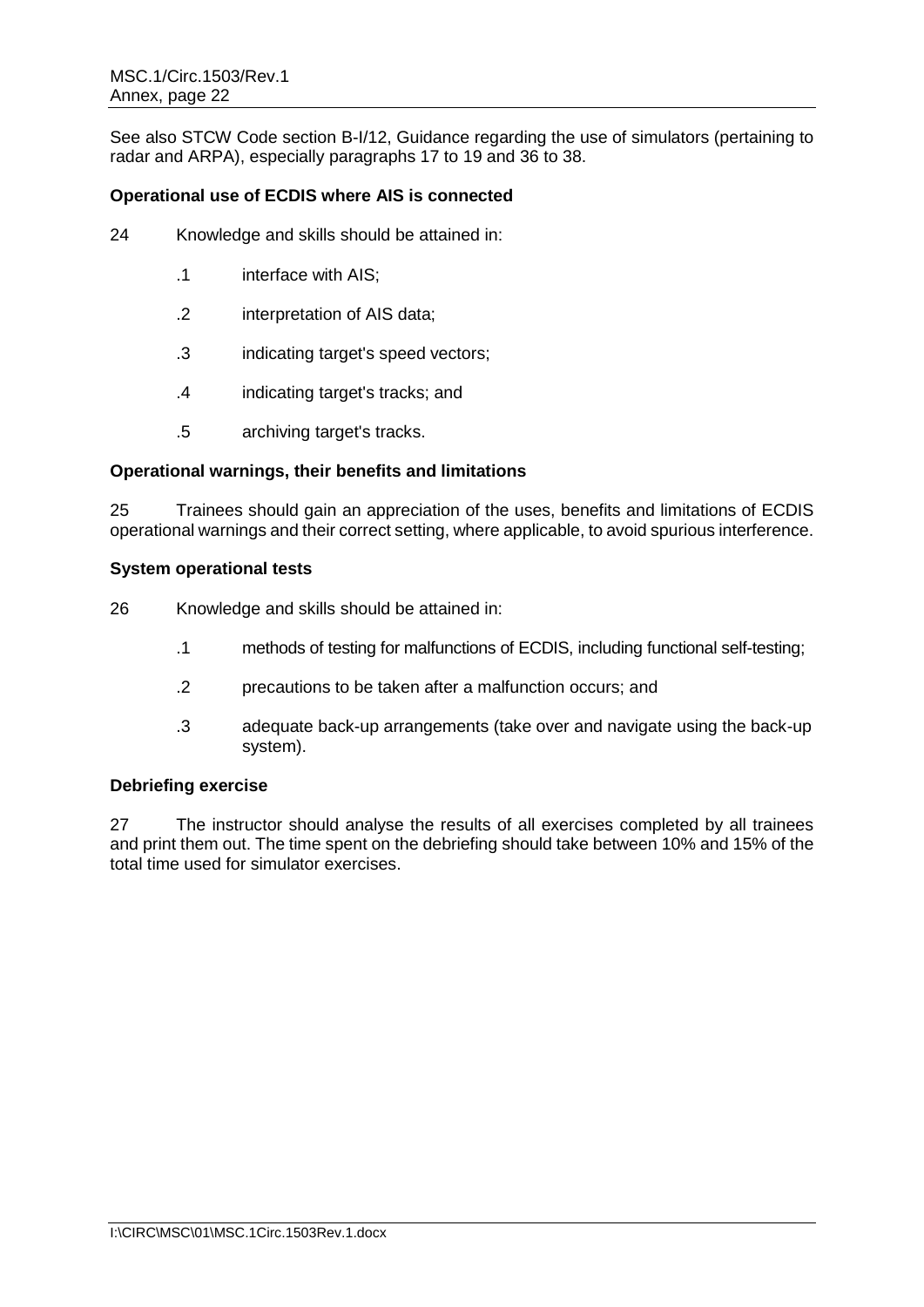See also STCW Code section B-I/12, Guidance regarding the use of simulators (pertaining to radar and ARPA), especially paragraphs 17 to 19 and 36 to 38.

# **Operational use of ECDIS where AIS is connected**

- 24 Knowledge and skills should be attained in:
	- .1 interface with AIS;
	- .2 interpretation of AIS data;
	- .3 indicating target's speed vectors;
	- .4 indicating target's tracks; and
	- .5 archiving target's tracks.

#### **Operational warnings, their benefits and limitations**

25 Trainees should gain an appreciation of the uses, benefits and limitations of ECDIS operational warnings and their correct setting, where applicable, to avoid spurious interference.

#### **System operational tests**

26 Knowledge and skills should be attained in:

- .1 methods of testing for malfunctions of ECDIS, including functional self-testing;
- .2 precautions to be taken after a malfunction occurs; and
- .3 adequate back-up arrangements (take over and navigate using the back-up system).

#### **Debriefing exercise**

27 The instructor should analyse the results of all exercises completed by all trainees and print them out. The time spent on the debriefing should take between 10% and 15% of the total time used for simulator exercises.